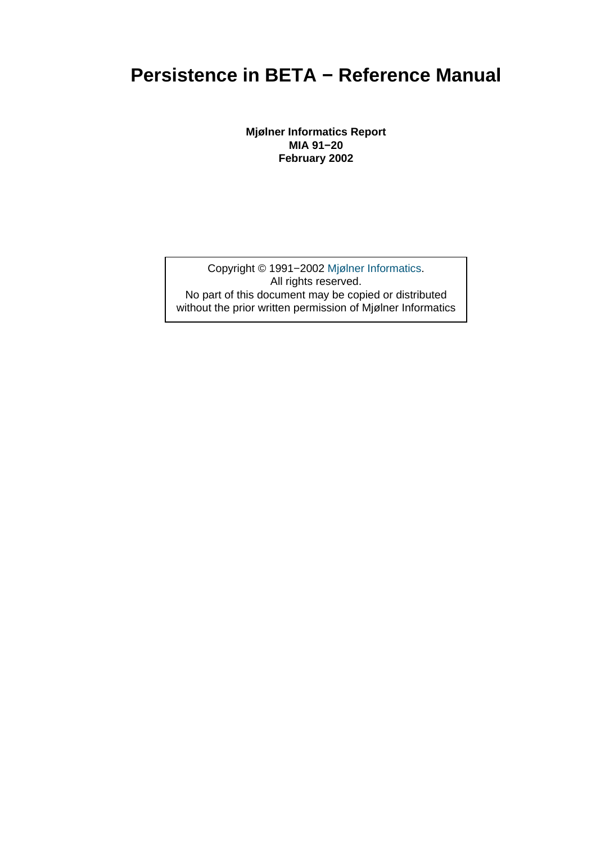## **Persistence in BETA − Reference Manual**

**Mjølner Informatics Report MIA 91−20 February 2002**

Copyright © 1991−2002 Mjølner Informatics. All rights reserved. No part of this document may be copied or distributed without the prior written permis[sion of Mjølner Infor](http://www.mjolner.com)matics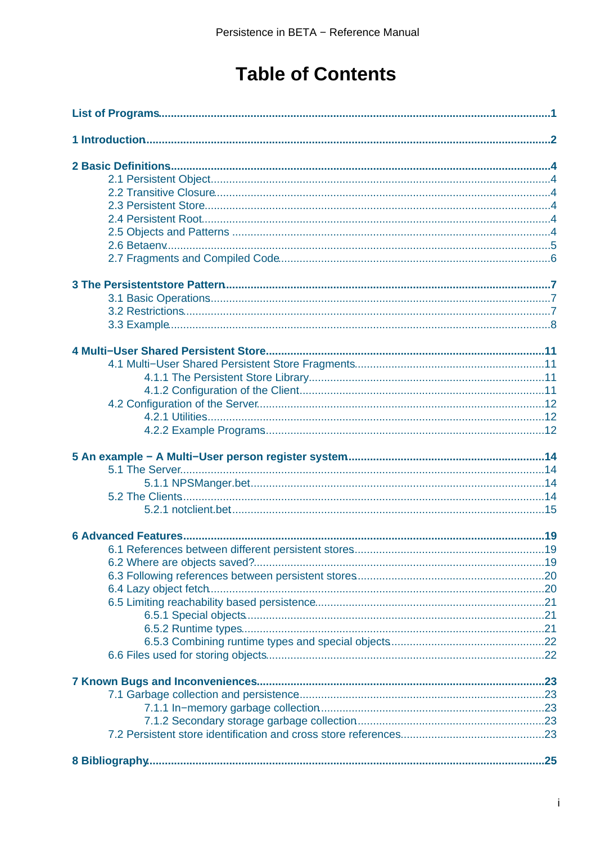# **Table of Contents**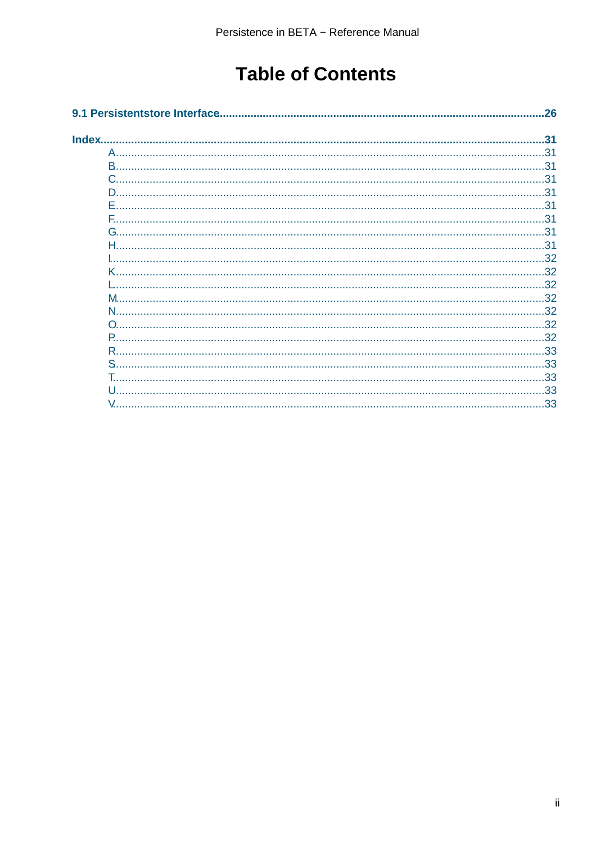# **Table of Contents**

|    | 26 |
|----|----|
|    | 31 |
|    |    |
|    |    |
|    |    |
| D. |    |
|    |    |
| E  |    |
|    |    |
|    |    |
|    |    |
|    |    |
|    |    |
|    |    |
|    |    |
|    |    |
| P  |    |
|    |    |
|    |    |
| S. |    |
|    |    |
|    |    |
|    |    |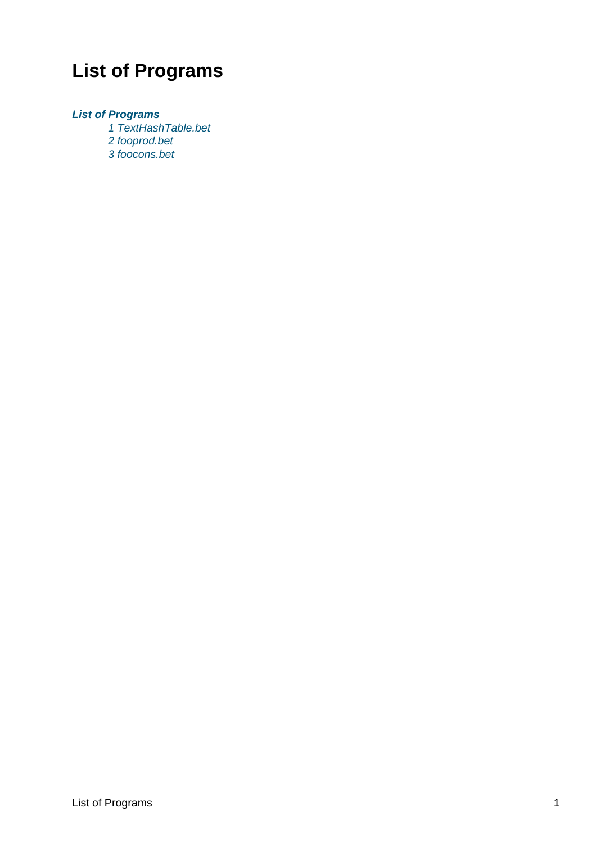# <span id="page-3-0"></span>**List of Programs**

#### **List of Programs**

1 TextHashTable.bet 2 fooprod.bet [3 foocons.b](#page-4-0)et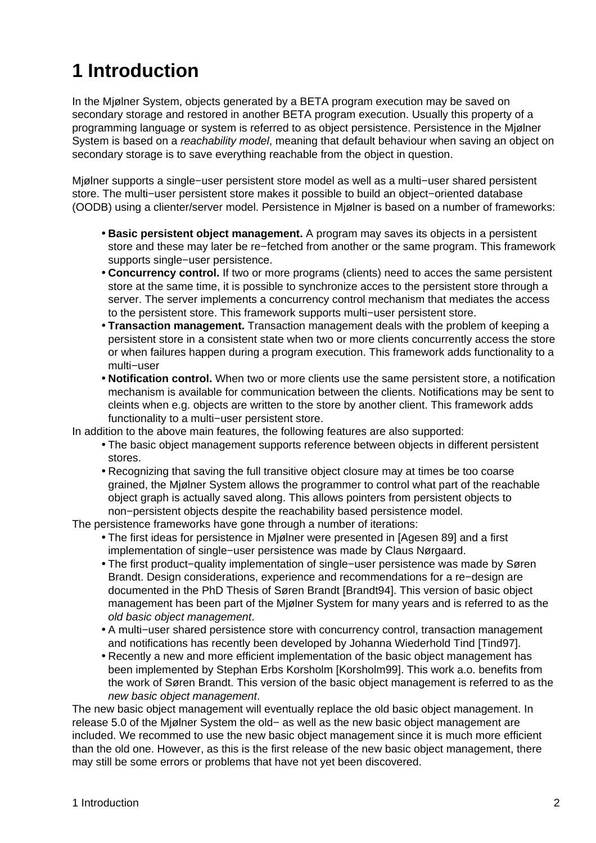# <span id="page-4-0"></span>**1 Introduction**

In the Mjølner System, objects generated by a BETA program execution may be saved on secondary storage and restored in another BETA program execution. Usually this property of a programming language or system is referred to as object persistence. Persistence in the Mjølner System is based on a *reachability model*, meaning that default behaviour when saving an object on secondary storage is to save everything reachable from the object in question.

Mjølner supports a single−user persistent store model as well as a multi−user shared persistent store. The multi−user persistent store makes it possible to build an object−oriented database (OODB) using a clienter/server model. Persistence in Mjølner is based on a number of frameworks:

- **Basic persistent object management.** A program may saves its objects in a persistent store and these may later be re−fetched from another or the same program. This framework supports single−user persistence.
- **Concurrency control.** If two or more programs (clients) need to acces the same persistent store at the same time, it is possible to synchronize acces to the persistent store through a server. The server implements a concurrency control mechanism that mediates the access to the persistent store. This framework supports multi−user persistent store.
- **Transaction management.** Transaction management deals with the problem of keeping a persistent store in a consistent state when two or more clients concurrently access the store or when failures happen during a program execution. This framework adds functionality to a multi−user
- **Notification control.** When two or more clients use the same persistent store, a notification mechanism is available for communication between the clients. Notifications may be sent to cleints when e.g. objects are written to the store by another client. This framework adds functionality to a multi–user persistent store.

In addition to the above main features, the following features are also supported:

- The basic object management supports reference between objects in different persistent stores.
- Recognizing that saving the full transitive object closure may at times be too coarse grained, the Mjølner System allows the programmer to control what part of the reachable object graph is actually saved along. This allows pointers from persistent objects to non−persistent objects despite the reachability based persistence model.

The persistence frameworks have gone through a number of iterations:

- The first ideas for persistence in Mjølner were presented in [Agesen 89] and a first implementation of single−user persistence was made by Claus Nørgaard.
- The first product−quality implementation of single−user persistence was made by Søren Brandt. Design considerations, experience and recommendations for a re−design are documented in the PhD Thesis of Søren Brandt [Brandt94]. This version of basic object management has been part of the Mjølner System for many years and is referred to as the old basic object management.
- A multi−user shared persistence store with concurrency control, transaction management and notifications has recently been developed by Johanna Wiederhold Tind [Tind97].
- Recently a new and more efficient implementation of the basic object management has been implemented by Stephan Erbs Korsholm [Korsholm99]. This work a.o. benefits from the work of Søren Brandt. This version of the basic object management is referred to as the new basic object management.

The new basic object management will eventually replace the old basic object management. In release 5.0 of the Mjølner System the old− as well as the new basic object management are included. We recommed to use the new basic object management since it is much more efficient than the old one. However, as this is the first release of the new basic object management, there may still be some errors or problems that have not yet been discovered.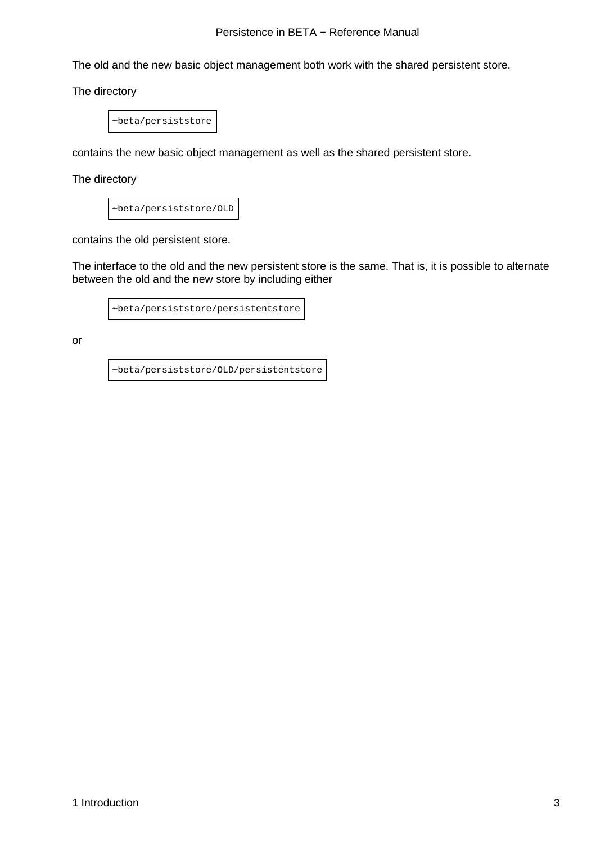#### Persistence in BETA – Reference Manual

The old and the new basic object management both work with the shared persistent store.

The directory

~beta/persiststore

contains the new basic object management as well as the shared persistent store.

The directory

~beta/persiststore/OLD

contains the old persistent store.

The interface to the old and the new persistent store is the same. That is, it is possible to alternate between the old and the new store by including either

~beta/persiststore/persistentstore

or

~beta/persiststore/OLD/persistentstore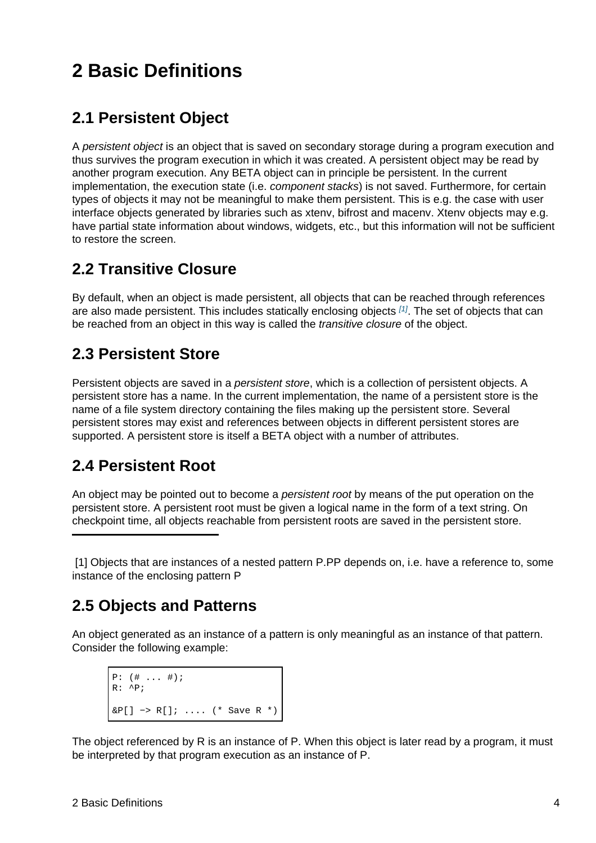# <span id="page-6-0"></span>**2 Basic Definitions**

## **2.1 Persistent Object**

A persistent object is an object that is saved on secondary storage during a program execution and thus survives the program execution in which it was created. A persistent object may be read by another program execution. Any BETA object can in principle be persistent. In the current implementation, the execution state (i.e. *component stacks*) is not saved. Furthermore, for certain types of objects it may not be meaningful to make them persistent. This is e.g. the case with user interface objects generated by libraries such as xtenv, bifrost and macenv. Xtenv objects may e.g. have partial state information about windows, widgets, etc., but this information will not be sufficient to restore the screen.

## **2.2 Transitive Closure**

By default, when an object is made persistent, all objects that can be reached through references are also made persistent. This includes statically enclosing objects  $^{[1]}$ . The set of objects that can be reached from an object in this way is called the *transitive closure* of the object.

## **2.3 Persistent Store**

Persistent objects are saved in a persistent store, which is a collection of persistent objects. A persistent store has a name. In the current implementation, the name of a persistent store is the name of a file system directory containing the files making up the persistent store. Several persistent stores may exist and references between objects in different persistent stores are supported. A persistent store is itself a BETA object with a number of attributes.

## **2.4 Persistent Root**

An object may be pointed out to become a *persistent root* by means of the put operation on the persistent store. A persistent root must be given a logical name in the form of a text string. On checkpoint time, all objects reachable from persistent roots are saved in the persistent store.

 [1] Objects that are instances of a nested pattern P.PP depends on, i.e. have a reference to, some instance of the enclosing pattern P

## **2.5 Objects and Patterns**

An object generated as an instance of a pattern is only meaningful as an instance of that pattern. Consider the following example:

```
P: (\# ... \#);
R: \wedge P;
\&P[] \rightarrow R[]; .... (* Save R *)
```
The object referenced by R is an instance of P. When this object is later read by a program, it must be interpreted by that program execution as an instance of P.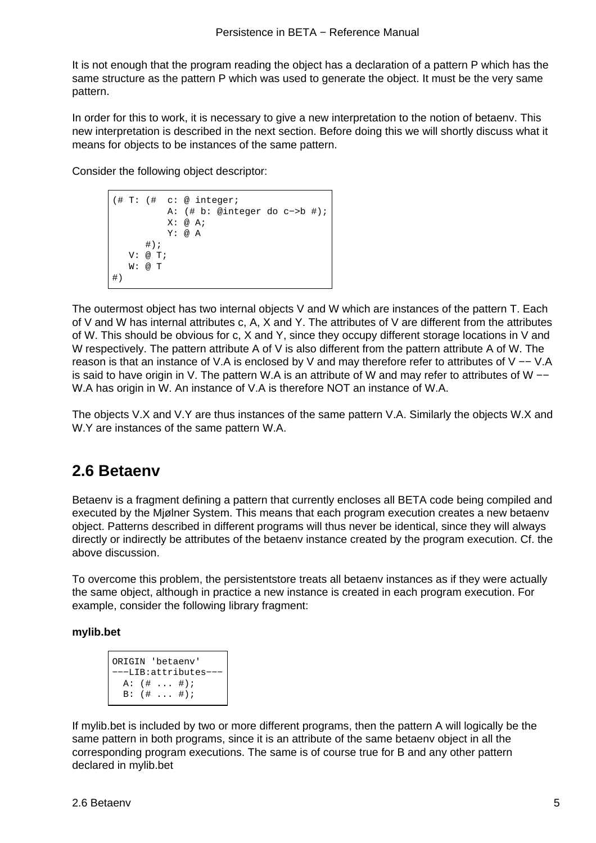<span id="page-7-0"></span>It is not enough that the program reading the object has a declaration of a pattern P which has the same structure as the pattern P which was used to generate the object. It must be the very same pattern.

In order for this to work, it is necessary to give a new interpretation to the notion of betaenv. This new interpretation is described in the next section. Before doing this we will shortly discuss what it means for objects to be instances of the same pattern.

Consider the following object descriptor:

```
(# T: (# c: @ integer;
            A: (# b: @integer do c−>b #);
           X: \emptyset A;
            Y: @ A
      \#);
    V: @ T;
    W: @ T
#)
```
The outermost object has two internal objects V and W which are instances of the pattern T. Each of V and W has internal attributes c, A, X and Y. The attributes of V are different from the attributes of W. This should be obvious for c, X and Y, since they occupy different storage locations in V and W respectively. The pattern attribute A of V is also different from the pattern attribute A of W. The reason is that an instance of V.A is enclosed by V and may therefore refer to attributes of V −− V.A is said to have origin in V. The pattern W.A is an attribute of W and may refer to attributes of W −− W.A has origin in W. An instance of V.A is therefore NOT an instance of W.A.

The objects V.X and V.Y are thus instances of the same pattern V.A. Similarly the objects W.X and W.Y are instances of the same pattern W.A.

## **2.6 Betaenv**

Betaenv is a fragment defining a pattern that currently encloses all BETA code being compiled and executed by the Mjølner System. This means that each program execution creates a new betaenv object. Patterns described in different programs will thus never be identical, since they will always directly or indirectly be attributes of the betaenv instance created by the program execution. Cf. the above discussion.

To overcome this problem, the persistentstore treats all betaenv instances as if they were actually the same object, although in practice a new instance is created in each program execution. For example, consider the following library fragment:

#### **mylib.bet**

```
ORIGIN 'betaenv'
−−−LIB:attributes−−−
  A: (# ... #);
   B: (# ... #);
```
If mylib.bet is included by two or more different programs, then the pattern A will logically be the same pattern in both programs, since it is an attribute of the same betaenv object in all the corresponding program executions. The same is of course true for B and any other pattern declared in mylib.bet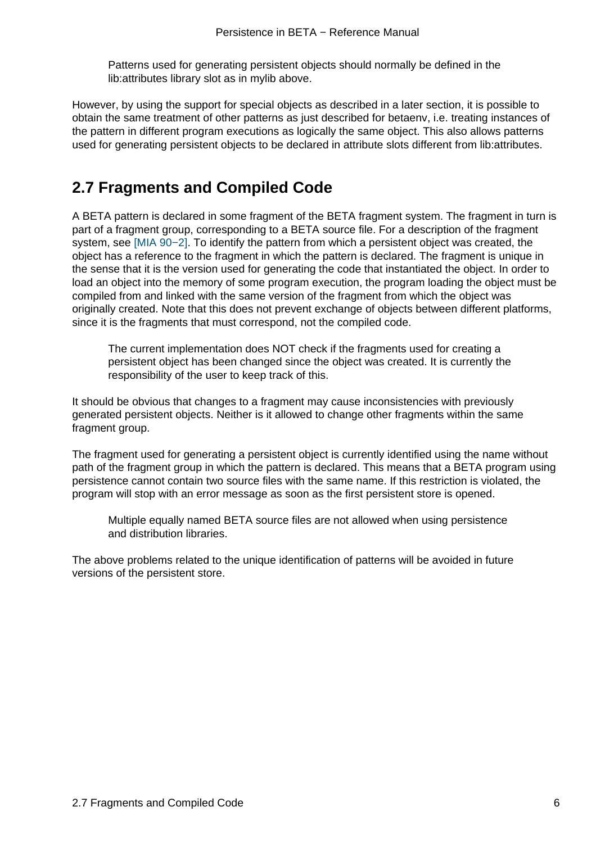Patterns used for generating persistent objects should normally be defined in the lib:attributes library slot as in mylib above.

<span id="page-8-0"></span>However, by using the support for special objects as described in a later section, it is possible to obtain the same treatment of other patterns as just described for betaenv, i.e. treating instances of the pattern in different program executions as logically the same object. This also allows patterns used for generating persistent objects to be declared in attribute slots different from lib:attributes.

## **2.7 Fragments and Compiled Code**

A BETA pattern is declared in some fragment of the BETA fragment system. The fragment in turn is part of a fragment group, corresponding to a BETA source file. For a description of the fragment system, see [MIA 90−2]. To identify the pattern from which a persistent object was created, the object has a reference to the fragment in which the pattern is declared. The fragment is unique in the sense that it is the version used for generating the code that instantiated the object. In order to load an object into the memory of some program execution, the program loading the object must be compiled fro[m and linke](#mia90-2)d with the same version of the fragment from which the object was originally created. Note that this does not prevent exchange of objects between different platforms, since it is the fragments that must correspond, not the compiled code.

The current implementation does NOT check if the fragments used for creating a persistent object has been changed since the object was created. It is currently the responsibility of the user to keep track of this.

It should be obvious that changes to a fragment may cause inconsistencies with previously generated persistent objects. Neither is it allowed to change other fragments within the same fragment group.

The fragment used for generating a persistent object is currently identified using the name without path of the fragment group in which the pattern is declared. This means that a BETA program using persistence cannot contain two source files with the same name. If this restriction is violated, the program will stop with an error message as soon as the first persistent store is opened.

Multiple equally named BETA source files are not allowed when using persistence and distribution libraries.

The above problems related to the unique identification of patterns will be avoided in future versions of the persistent store.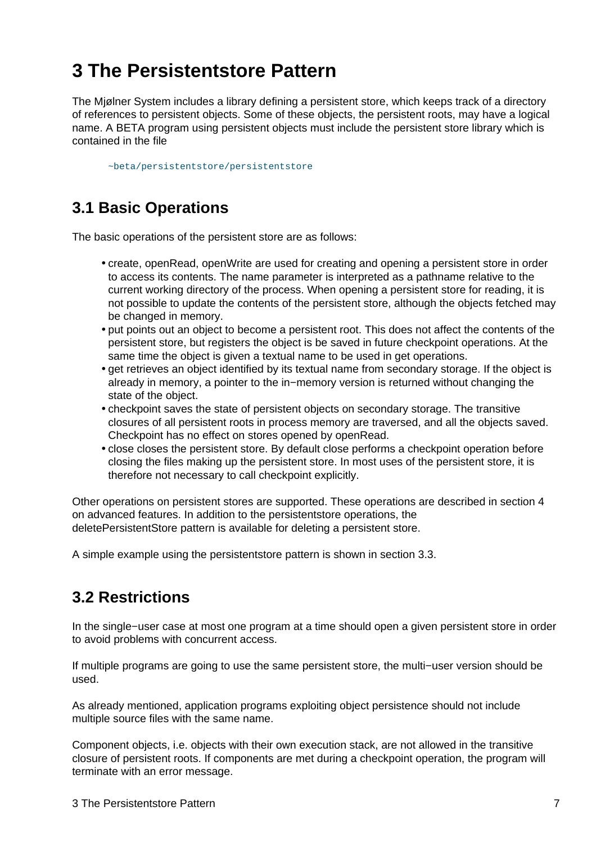# <span id="page-9-0"></span>**3 The Persistentstore Pattern**

The Mjølner System includes a library defining a persistent store, which keeps track of a directory of references to persistent objects. Some of these objects, the persistent roots, may have a logical name. A BETA program using persistent objects must include the persistent store library which is contained in the file

~beta/persistentstore/persistentstore

## **3.1 [Basic Operations](#page-28-0)**

The basic operations of the persistent store are as follows:

- create, openRead, openWrite are used for creating and opening a persistent store in order to access its contents. The name parameter is interpreted as a pathname relative to the current working directory of the process. When opening a persistent store for reading, it is not possible to update the contents of the persistent store, although the objects fetched may be changed in memory.
- put points out an object to become a persistent root. This does not affect the contents of the persistent store, but registers the object is be saved in future checkpoint operations. At the same time the object is given a textual name to be used in get operations.
- get retrieves an object identified by its textual name from secondary storage. If the object is already in memory, a pointer to the in−memory version is returned without changing the state of the object.
- checkpoint saves the state of persistent objects on secondary storage. The transitive closures of all persistent roots in process memory are traversed, and all the objects saved. Checkpoint has no effect on stores opened by openRead.
- close closes the persistent store. By default close performs a checkpoint operation before closing the files making up the persistent store. In most uses of the persistent store, it is therefore not necessary to call checkpoint explicitly.

Other operations on persistent stores are supported. These operations are described in section 4 on advanced features. In addition to the persistentstore operations, the deletePersistentStore pattern is available for deleting a persistent store.

A simple example using the persistentstore pattern is shown in section 3.3.

## **3.2 Restrictions**

In the single−user case at most one program at a time should open a given persistent store in order to avoid problems with concurrent access.

If multiple programs are going to use the same persistent store, the multi−user version should be used.

As already mentioned, application programs exploiting object persistence should not include multiple source files with the same name.

Component objects, i.e. objects with their own execution stack, are not allowed in the transitive closure of persistent roots. If components are met during a checkpoint operation, the program will terminate with an error message.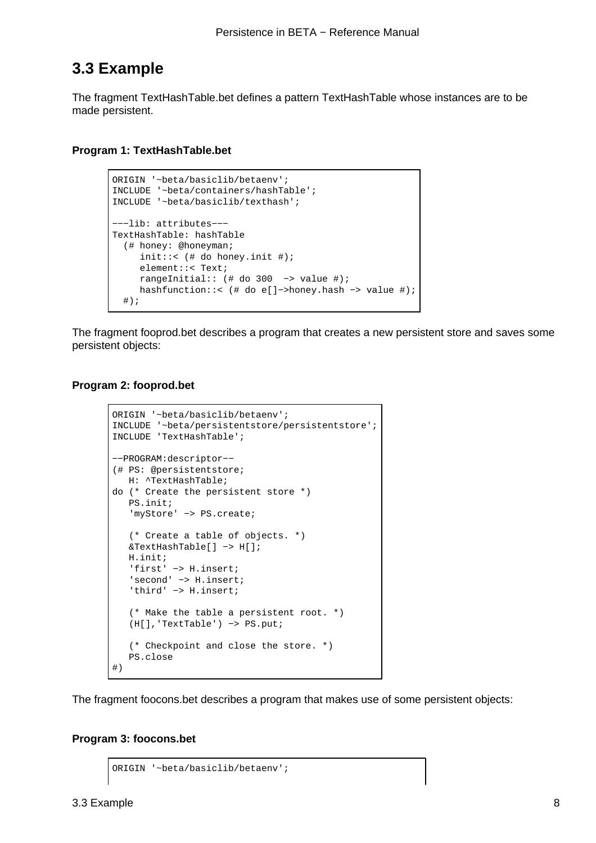### **3.3 Example**

The fragment TextHashTable.bet defines a pattern TextHashTable whose instances are to be made persistent.

#### **Program 1: TextHashTable.bet**

```
ORIGIN '~beta/basiclib/betaenv';
INCLUDE '~beta/containers/hashTable';
INCLUDE '~beta/basiclib/texthash';
−−−lib: attributes−−−
TextHashTable: hashTable
   (# honey: @honeyman;
     init::< (# do honey.init #);
      element::< Text;
      rangeInitial:: (# do 300 −> value #);
     hashfunction::< (# do e[]−>honey.hash −> value #);
  #);
```
The fragment fooprod.bet describes a program that creates a new persistent store and saves some persistent objects:

#### **Program 2: fooprod.bet**

```
ORIGIN '~beta/basiclib/betaenv';
INCLUDE '~beta/persistentstore/persistentstore';
INCLUDE 'TextHashTable';
−−PROGRAM:descriptor−−
(# PS: @persistentstore;
   H: ^TextHashTable;
do (* Create the persistent store *)
    PS.init;
    'myStore' −> PS.create; 
    (* Create a table of objects. *)
    &TextHashTable[] −> H[]; 
    H.init;
    'first' −> H.insert;
    'second' −> H.insert;
    'third' −> H.insert;
    (* Make the table a persistent root. *)
    (H[],'TextTable') −> PS.put;
    (* Checkpoint and close the store. *)
    PS.close
#)
```
The fragment foocons.bet describes a program that makes use of some persistent objects:

#### **Program 3: foocons.bet**

```
ORIGIN '~beta/basiclib/betaenv';
```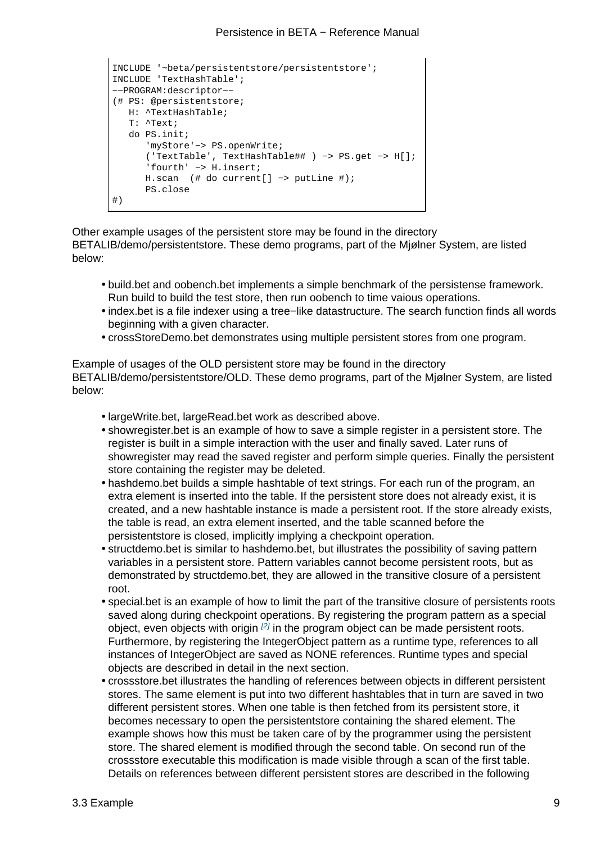```
INCLUDE '~beta/persistentstore/persistentstore';
INCLUDE 'TextHashTable';
−−PROGRAM:descriptor−−
(# PS: @persistentstore;
   H: ^TextHashTable; 
   T: ^Text;
   do PS.init;
      'myStore'−> PS.openWrite;
      ('TextTable', TextHashTable## ) −> PS.get −> H[]; 
      'fourth' −> H.insert;
      H.scan (# do current[] −> putLine #);
       PS.close
#)
```
Other example usages of the persistent store may be found in the directory BETALIB/demo/persistentstore. These demo programs, part of the Mjølner System, are listed below:

- build.bet and oobench.bet implements a simple benchmark of the persistense framework. Run build to build the test store, then run oobench to time vaious operations.
- index.bet is a file indexer using a tree−like datastructure. The search function finds all words beginning with a given character.
- crossStoreDemo.bet demonstrates using multiple persistent stores from one program.

Example of usages of the OLD persistent store may be found in the directory BETALIB/demo/persistentstore/OLD. These demo programs, part of the Mjølner System, are listed below:

- largeWrite.bet, largeRead.bet work as described above.
- showregister.bet is an example of how to save a simple register in a persistent store. The register is built in a simple interaction with the user and finally saved. Later runs of showregister may read the saved register and perform simple queries. Finally the persistent store containing the register may be deleted.
- hashdemo.bet builds a simple hashtable of text strings. For each run of the program, an extra element is inserted into the table. If the persistent store does not already exist, it is created, and a new hashtable instance is made a persistent root. If the store already exists, the table is read, an extra element inserted, and the table scanned before the persistentstore is closed, implicitly implying a checkpoint operation.
- structdemo.bet is similar to hashdemo.bet, but illustrates the possibility of saving pattern variables in a persistent store. Pattern variables cannot become persistent roots, but as demonstrated by structdemo.bet, they are allowed in the transitive closure of a persistent root.
- special.bet is an example of how to limit the part of the transitive closure of persistents roots saved along during checkpoint operations. By registering the program pattern as a special object, even objects with origin  $[2]$  in the program object can be made persistent roots. Furthermore, by registering the IntegerObject pattern as a runtime type, references to all instances of IntegerObject are saved as NONE references. Runtime types and special objects are described in detail in the next section.
- crossstore.bet illustrates the ha[nd](#page-12-0)ling of references between objects in different persistent stores. The same element is put into two different hashtables that in turn are saved in two different persistent stores. When one table is then fetched from its persistent store, it becomes necessary to open the persistentstore containing the shared element. The example shows how this must be taken care of by the programmer using the persistent store. The shared element is modified through the second table. On second run of the crossstore executable this modification is made visible through a scan of the first table. Details on references between different persistent stores are described in the following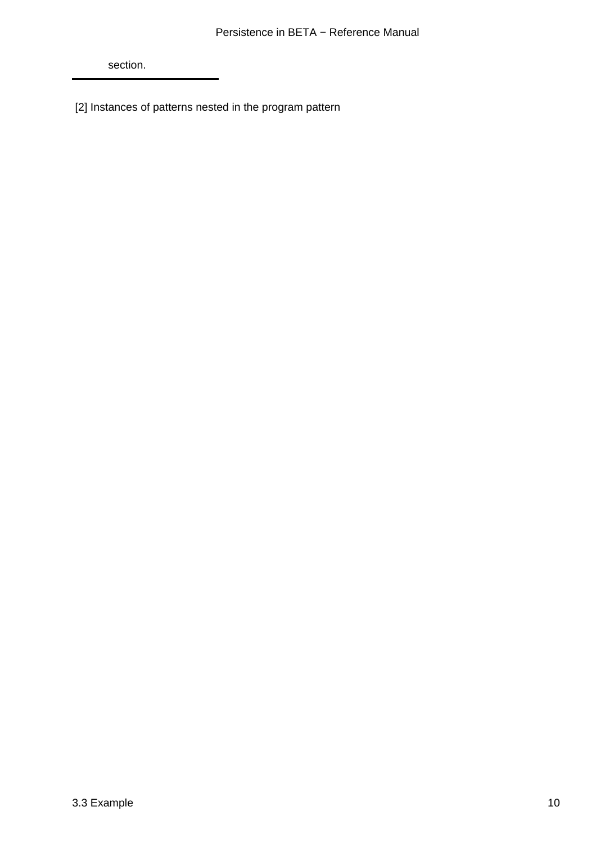<span id="page-12-0"></span>section.

[2] Instances of patterns nested in the program pattern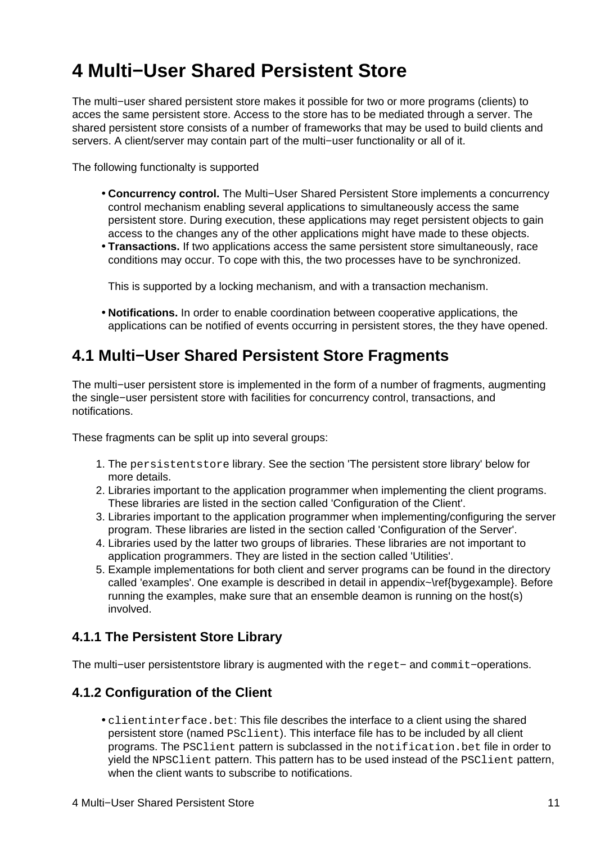# <span id="page-13-0"></span>**4 Multi−User Shared Persistent Store**

The multi−user shared persistent store makes it possible for two or more programs (clients) to acces the same persistent store. Access to the store has to be mediated through a server. The shared persistent store consists of a number of frameworks that may be used to build clients and servers. A client/server may contain part of the multi−user functionality or all of it.

The following functionalty is supported

- **Concurrency control.** The Multi−User Shared Persistent Store implements a concurrency control mechanism enabling several applications to simultaneously access the same persistent store. During execution, these applications may reget persistent objects to gain access to the changes any of the other applications might have made to these objects.
- **Transactions.** If two applications access the same persistent store simultaneously, race conditions may occur. To cope with this, the two processes have to be synchronized.

This is supported by a locking mechanism, and with a transaction mechanism.

• **Notifications.** In order to enable coordination between cooperative applications, the applications can be notified of events occurring in persistent stores, the they have opened.

### **4.1 Multi−User Shared Persistent Store Fragments**

The multi−user persistent store is implemented in the form of a number of fragments, augmenting the single−user persistent store with facilities for concurrency control, transactions, and notifications.

These fragments can be split up into several groups:

- 1. The persistentstore library. See the section 'The persistent store library' below for more details.
- 2. Libraries important to the application programmer when implementing the client programs. These libraries are listed in the section called 'Configuration of the Client'.
- 3. Libraries important to the application programmer when implementing/configuring the server program. These libraries are listed in the section called 'Configuration of the Server'.
- 4. Libraries used by the latter two groups of libraries. These libraries are not important to application programmers. They are listed in the section called 'Utilities'.
- 5. Example implementations for both client and server programs can be found in the directory called 'examples'. One example is described in detail in appendix~\ref{bygexample}. Before running the examples, make sure that an ensemble deamon is running on the host(s) involved.

### **4.1.1 The Persistent Store Library**

The multi–user persistentstore library is augmented with the reget– and commit–operations.

### **4.1.2 Configuration of the Client**

• clientinterface.bet: This file describes the interface to a client using the shared persistent store (named PSclient). This interface file has to be included by all client programs. The PSClient pattern is subclassed in the notification.bet file in order to yield the NPSClient pattern. This pattern has to be used instead of the PSClient pattern, when the client wants to subscribe to notifications.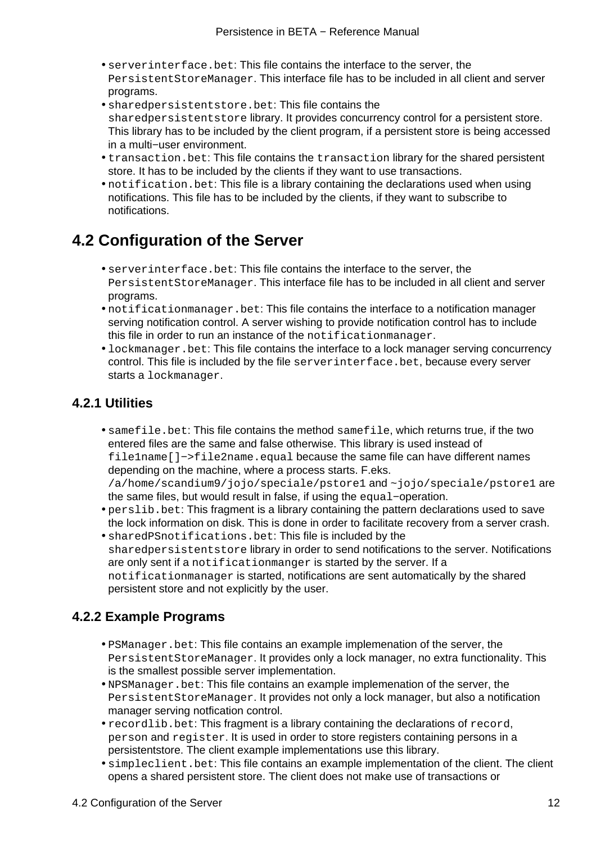- serverinterface.bet: This file contains the interface to the server, the PersistentStoreManager. This interface file has to be included in all client and server programs.
- sharedpersistentstore.bet: This file contains the sharedpersistentstore library. It provides concurrency control for a persistent store. This library has to be included by the client program, if a persistent store is being accessed in a multi−user environment.
- transaction.bet: This file contains the transaction library for the shared persistent store. It has to be included by the clients if they want to use transactions.
- notification. bet: This file is a library containing the declarations used when using notifications. This file has to be included by the clients, if they want to subscribe to notifications.

## **4.2 Configuration of the Server**

- serverinterface.bet: This file contains the interface to the server, the PersistentStoreManager. This interface file has to be included in all client and server programs.
- notificationmanager.bet: This file contains the interface to a notification manager serving notification control. A server wishing to provide notification control has to include this file in order to run an instance of the notificationmanager.
- lockmanager, bet: This file contains the interface to a lock manager serving concurrency control. This file is included by the file serverinterface.bet, because every server starts a lockmanager.

### **4.2.1 Utilities**

• samefile.bet: This file contains the method samefile, which returns true, if the two entered files are the same and false otherwise. This library is used instead of file1name[]−>file2name.equal because the same file can have different names depending on the machine, where a process starts. F.eks. /a/home/scandium9/jojo/speciale/pstore1 and ~jojo/speciale/pstore1 are

the same files, but would result in false, if using the equal−operation.

- perslib.bet: This fragment is a library containing the pattern declarations used to save the lock information on disk. This is done in order to facilitate recovery from a server crash.
- sharedPSnotifications.bet: This file is included by the sharedpersistentstore library in order to send notifications to the server. Notifications are only sent if a notificationmanger is started by the server. If a notificationmanager is started, notifications are sent automatically by the shared persistent store and not explicitly by the user.

### **4.2.2 Example Programs**

- PSManager.bet: This file contains an example implemenation of the server, the PersistentStoreManager. It provides only a lock manager, no extra functionality. This is the smallest possible server implementation.
- NPSManager.bet: This file contains an example implemenation of the server, the PersistentStoreManager. It provides not only a lock manager, but also a notification manager serving notfication control.
- recordlib.bet: This fragment is a library containing the declarations of record, person and register. It is used in order to store registers containing persons in a persistentstore. The client example implementations use this library.
- simpleclient.bet: This file contains an example implementation of the client. The client opens a shared persistent store. The client does not make use of transactions or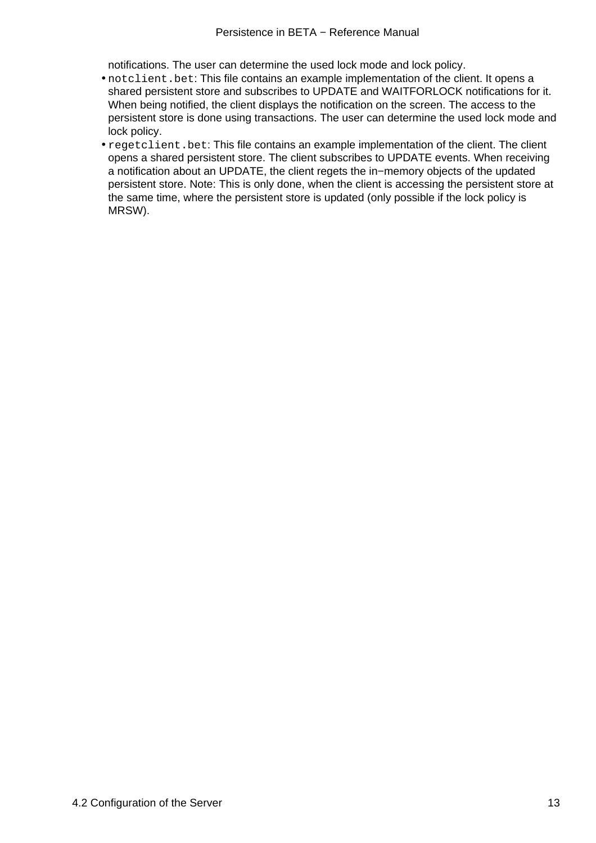notifications. The user can determine the used lock mode and lock policy.

- notclient. bet: This file contains an example implementation of the client. It opens a shared persistent store and subscribes to UPDATE and WAITFORLOCK notifications for it. When being notified, the client displays the notification on the screen. The access to the persistent store is done using transactions. The user can determine the used lock mode and lock policy.
- regetclient. bet: This file contains an example implementation of the client. The client opens a shared persistent store. The client subscribes to UPDATE events. When receiving a notification about an UPDATE, the client regets the in−memory objects of the updated persistent store. Note: This is only done, when the client is accessing the persistent store at the same time, where the persistent store is updated (only possible if the lock policy is MRSW).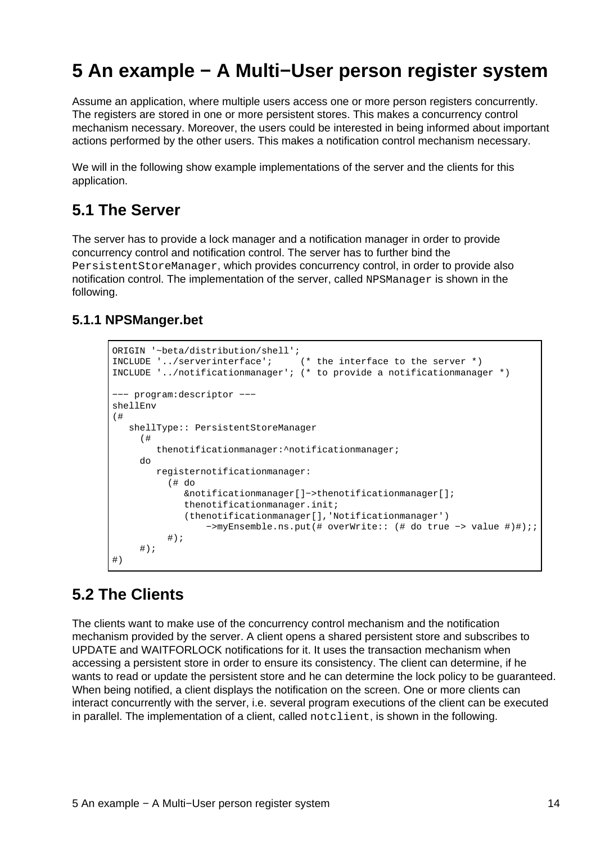# <span id="page-16-0"></span>**5 An example − A Multi−User person register system**

Assume an application, where multiple users access one or more person registers concurrently. The registers are stored in one or more persistent stores. This makes a concurrency control mechanism necessary. Moreover, the users could be interested in being informed about important actions performed by the other users. This makes a notification control mechanism necessary.

We will in the following show example implementations of the server and the clients for this application.

### **5.1 The Server**

The server has to provide a lock manager and a notification manager in order to provide concurrency control and notification control. The server has to further bind the PersistentStoreManager, which provides concurrency control, in order to provide also notification control. The implementation of the server, called NPSManager is shown in the following.

### **5.1.1 NPSManger.bet**

```
ORIGIN '~beta/distribution/shell';
INCLUDE '../serverinterface'; (* the interface to the server *)
INCLUDE '../notificationmanager'; (* to provide a notificationmanager *)
−−− program:descriptor −−−
shellEnv 
(# 
    shellType:: PersistentStoreManager
      (# 
         thenotificationmanager:^notificationmanager;
     do
         registernotificationmanager:
           (# do
              &notificationmanager[]−>thenotificationmanager[]; 
              thenotificationmanager.init;
              (thenotificationmanager[],'Notificationmanager')
                  −>myEnsemble.ns.put(# overWrite:: (# do true −> value #)#);;
           #);
     #);
#)
```
### **5.2 The Clients**

The clients want to make use of the concurrency control mechanism and the notification mechanism provided by the server. A client opens a shared persistent store and subscribes to UPDATE and WAITFORLOCK notifications for it. It uses the transaction mechanism when accessing a persistent store in order to ensure its consistency. The client can determine, if he wants to read or update the persistent store and he can determine the lock policy to be guaranteed. When being notified, a client displays the notification on the screen. One or more clients can interact concurrently with the server, i.e. several program executions of the client can be executed in parallel. The implementation of a client, called notclient, is shown in the following.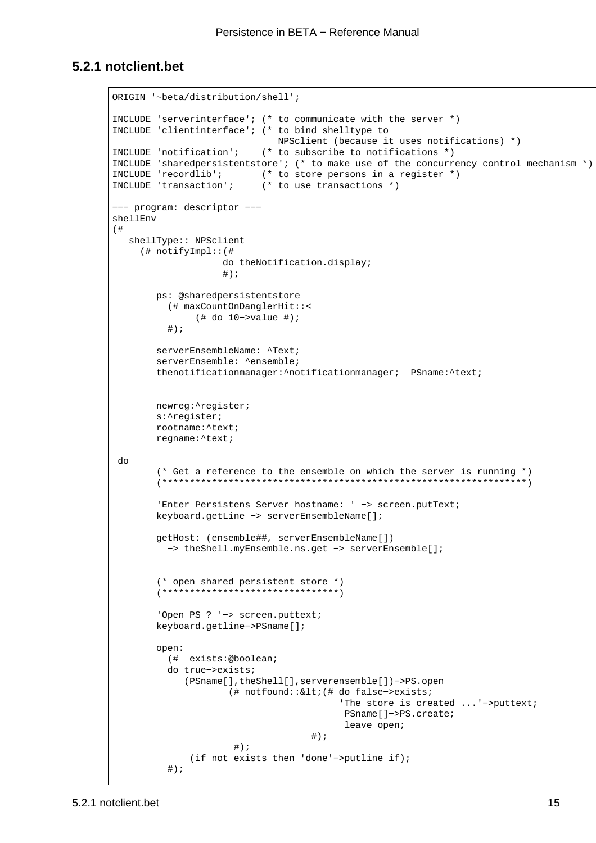#### **5.2.1 notclient.bet**

```
ORIGIN '~beta/distribution/shell';
INCLUDE 'serverinterface'; (* to communicate with the server *)
INCLUDE 'clientinterface'; (* to bind shelltype to
                              NPSclient (because it uses notifications) *)
INCLUDE 'notification'; (* to subscribe to notifications *)
INCLUDE 'sharedpersistentstore'; (* to make use of the concurrency control mechanism *)
INCLUDE 'recordlib'; (* to store persons in a register *)
INCLUDE 'transaction'; (* to use transactions *)
−−− program: descriptor −−−
shellEnv
(# 
   shellType:: NPSclient
      (# notifyImpl::(#
                     do theNotification.display;
\#);
        ps: @sharedpersistentstore
           (# maxCountOnDanglerHit::<
               (# do 10−>value #);
           #);
         serverEnsembleName: ^Text; 
        serverEnsemble: ^ensemble;
         thenotificationmanager:^notificationmanager; PSname:^text;
        newreg:^register; 
        s:^register;
        rootname:^text;
         regname:^text;
 do 
         (* Get a reference to the ensemble on which the server is running *)
         (******************************************************************)
         'Enter Persistens Server hostname: ' −> screen.putText;
         keyboard.getLine −> serverEnsembleName[];
         getHost: (ensemble##, serverEnsembleName[]) 
          −> theShell.myEnsemble.ns.get −> serverEnsemble[];
         (* open shared persistent store *)
         (********************************)
         'Open PS ? '−> screen.puttext;
         keyboard.getline−>PSname[];
         open:
          (# exists:@boolean; 
          do true−>exists;
              (PSname[],theShell[],serverensemble[])−>PS.open
                      (# notfound::<(# do false−>exists; 
                                          'The store is created ...'−>puttext; 
                                          PSname[]−>PS.create;
                                           leave open;
\#);
                      #);
               (if not exists then 'done'−>putline if);
           #);
```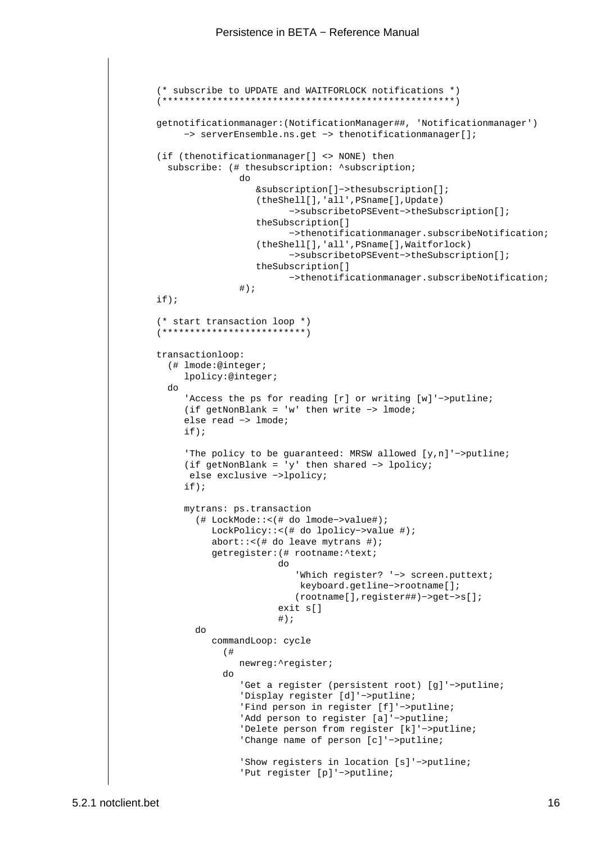```
 (* subscribe to UPDATE and WAITFORLOCK notifications *)
          (*****************************************************)
          getnotificationmanager:(NotificationManager##, 'Notificationmanager') 
               −> serverEnsemble.ns.get −> thenotificationmanager[];
          (if (thenotificationmanager[] <> NONE) then
           subscribe: (# thesubscription: ^subscription;
do de la contrado de la contrado de la contrado de la contrado de la contrado de la contrado de la contrado de
                              &subscription[]−>thesubscription[];
                              (theShell[],'all',PSname[],Update)
                                     −>subscribetoPSEvent−>theSubscription[];
                              theSubscription[]
                                     −>thenotificationmanager.subscribeNotification;
                              (theShell[],'all',PSname[],Waitforlock)
                                     −>subscribetoPSEvent−>theSubscription[];
                              theSubscription[]
                                     −>thenotificationmanager.subscribeNotification;
\#);
         if);
          (* start transaction loop *)
          (**************************)
          transactionloop:
            (# lmode:@integer; 
               lpolicy:@integer;
            do
               'Access the ps for reading [r] or writing [w]'−>putline;
               (if getNonBlank = 'w' then write −> lmode;
               else read −> lmode;
               if);
               'The policy to be guaranteed: MRSW allowed [y,n]'−>putline;
               (if getNonBlank = 'y' then shared −> lpolicy;
                else exclusive −>lpolicy;
               if);
               mytrans: ps.transaction
                  (# LockMode::<(# do lmode−>value#);
                     LockPolicy::<(# do lpolicy−>value #);
                     abort::<(# do leave mytrans #);
                     getregister:(# rootname:^text;
do de la contradición de la contradición de la contradición de la contradición de la contradición de la contra
                                      'Which register? '−> screen.puttext; 
                                       keyboard.getline−>rootname[];
                                      (rootname[],register##)−>get−>s[];
                                   exit s[]
\#);
                 do 
                     commandLoop: cycle
( \# newreg:^register;
do de la contrado de la contrado de la contrado de la contrado de la contrado de la contrado de la contrado de
                           'Get a register (persistent root) [g]'−>putline;
                           'Display register [d]'−>putline;
                           'Find person in register [f]'−>putline;
                           'Add person to register [a]'−>putline;
                           'Delete person from register [k]'−>putline;
                           'Change name of person [c]'−>putline;
                           'Show registers in location [s]'−>putline;
                           'Put register [p]'−>putline;
```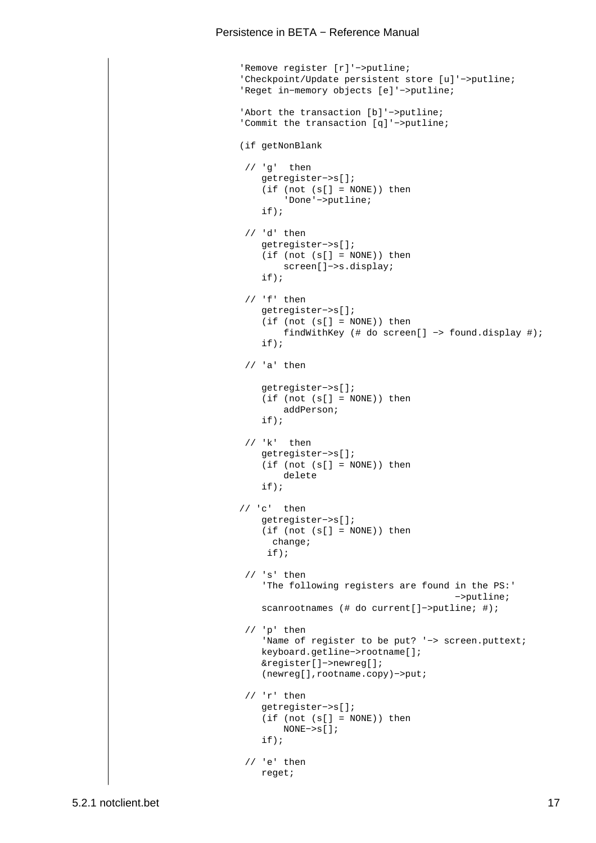```
 'Remove register [r]'−>putline;
 'Checkpoint/Update persistent store [u]'−>putline;
 'Reget in−memory objects [e]'−>putline;
 'Abort the transaction [b]'−>putline;
 'Commit the transaction [q]'−>putline;
 (if getNonBlank
  // 'g' then 
     getregister−>s[];
     (if (not (s[] = NONE)) then
         'Done'−>putline;
     if);
  // 'd' then
     getregister−>s[];
    (if (not (s[] = NONE)) then screen[]−>s.display;
     if);
  // 'f' then
     getregister−>s[];
     (if (not (s[] = NONE)) then
         findWithKey (# do screen[] −> found.display #);
     if);
  // 'a' then
     getregister−>s[];
    (if (not (s[] = NONE)) then addPerson;
     if);
  // 'k' then 
     getregister−>s[];
     (if (not (s[] = NONE)) then
         delete
     if);
 // 'c' then 
     getregister−>s[];
     (if (not (s[] = NONE)) then
      change;
      if);
 // 's' then 'The following registers are found in the PS:'
                                          −>putline;
     scanrootnames (# do current[]−>putline; #);
  // 'p' then
     'Name of register to be put? '−> screen.puttext; 
     keyboard.getline−>rootname[];
     &register[]−>newreg[];
     (newreg[],rootname.copy)−>put;
  // 'r' then
     getregister−>s[];
    (if (not (s[] = NONE)) then NONE−>s[]; 
     if);
 // 'e' then
     reget;
```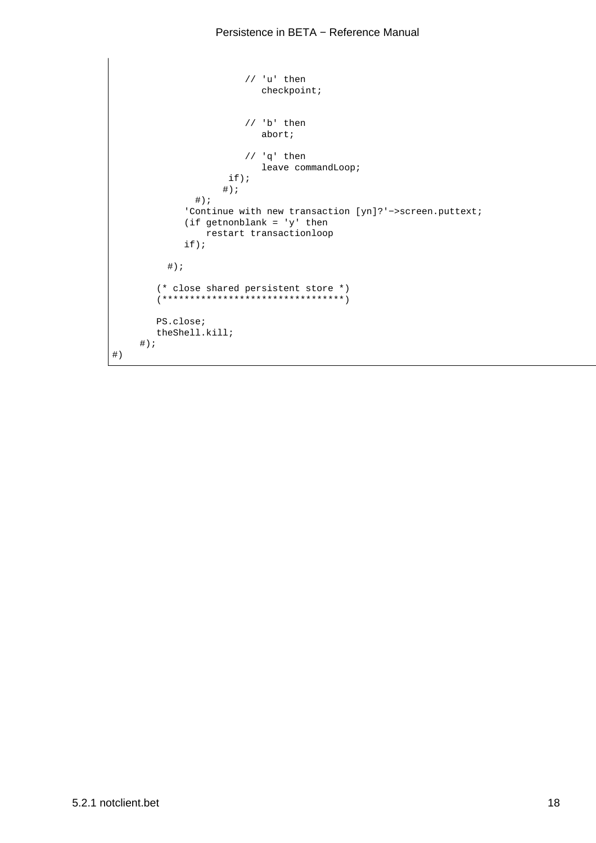#### Persistence in BETA – Reference Manual

```
 // 'u' then 
                              checkpoint;
                           // 'b' then 
                              abort;
                           // 'q' then 
                             leave commandLoop;
                       if);
                      \# ) \, ;
                \#);
               'Continue with new transaction [yn]?'−>screen.puttext;
               (if getnonblank = 'y' then
                  restart transactionloop
               if);
          \#);
          (* close shared persistent store *)
          (*********************************)
         PS.close;
         theShell.kill;
     \#);
#)
```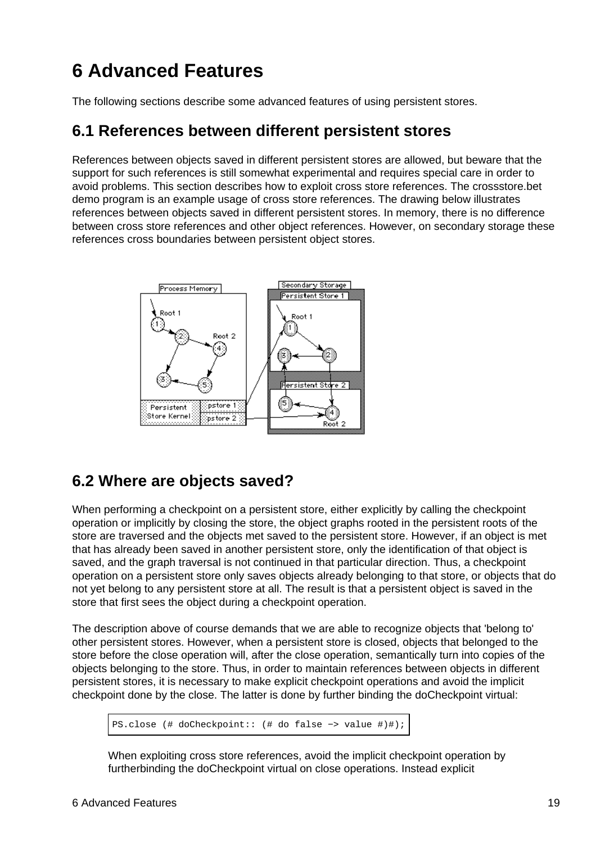# <span id="page-21-0"></span>**6 Advanced Features**

The following sections describe some advanced features of using persistent stores.

### **6.1 References between different persistent stores**

References between objects saved in different persistent stores are allowed, but beware that the support for such references is still somewhat experimental and requires special care in order to avoid problems. This section describes how to exploit cross store references. The crossstore.bet demo program is an example usage of cross store references. The drawing below illustrates references between objects saved in different persistent stores. In memory, there is no difference between cross store references and other object references. However, on secondary storage these references cross boundaries between persistent object stores.



## **6.2 Where are objects saved?**

When performing a checkpoint on a persistent store, either explicitly by calling the checkpoint operation or implicitly by closing the store, the object graphs rooted in the persistent roots of the store are traversed and the objects met saved to the persistent store. However, if an object is met that has already been saved in another persistent store, only the identification of that object is saved, and the graph traversal is not continued in that particular direction. Thus, a checkpoint operation on a persistent store only saves objects already belonging to that store, or objects that do not yet belong to any persistent store at all. The result is that a persistent object is saved in the store that first sees the object during a checkpoint operation.

The description above of course demands that we are able to recognize objects that 'belong to' other persistent stores. However, when a persistent store is closed, objects that belonged to the store before the close operation will, after the close operation, semantically turn into copies of the objects belonging to the store. Thus, in order to maintain references between objects in different persistent stores, it is necessary to make explicit checkpoint operations and avoid the implicit checkpoint done by the close. The latter is done by further binding the doCheckpoint virtual:

PS.close (# doCheckpoint:: (# do false −> value #)#);

When exploiting cross store references, avoid the implicit checkpoint operation by furtherbinding the doCheckpoint virtual on close operations. Instead explicit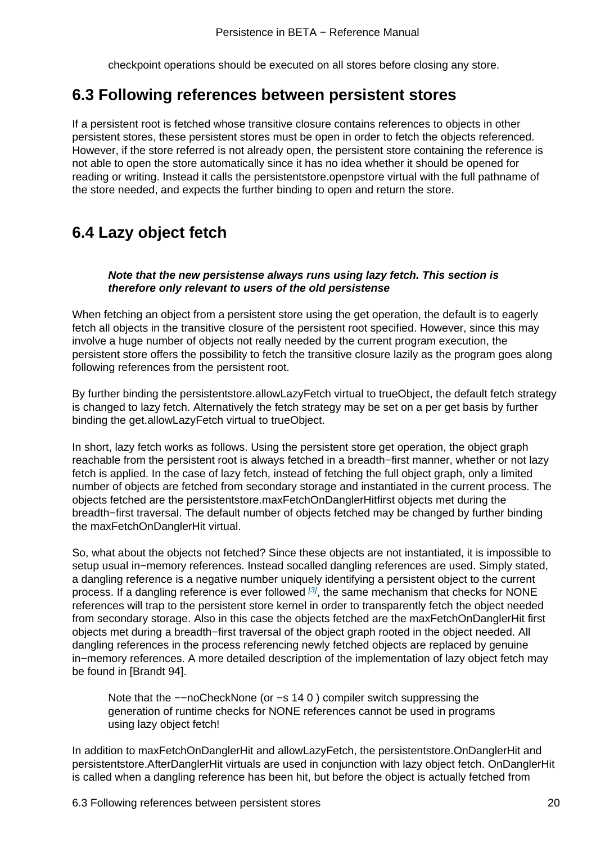### <span id="page-22-0"></span>**6.3 Following references between persistent stores**

If a persistent root is fetched whose transitive closure contains references to objects in other persistent stores, these persistent stores must be open in order to fetch the objects referenced. However, if the store referred is not already open, the persistent store containing the reference is not able to open the store automatically since it has no idea whether it should be opened for reading or writing. Instead it calls the persistentstore.openpstore virtual with the full pathname of the store needed, and expects the further binding to open and return the store.

## **6.4 Lazy object fetch**

#### **Note that the new persistense always runs using lazy fetch. This section is therefore only relevant to users of the old persistense**

When fetching an object from a persistent store using the get operation, the default is to eagerly fetch all objects in the transitive closure of the persistent root specified. However, since this may involve a huge number of objects not really needed by the current program execution, the persistent store offers the possibility to fetch the transitive closure lazily as the program goes along following references from the persistent root.

By further binding the persistentstore.allowLazyFetch virtual to trueObject, the default fetch strategy is changed to lazy fetch. Alternatively the fetch strategy may be set on a per get basis by further binding the get.allowLazyFetch virtual to trueObject.

In short, lazy fetch works as follows. Using the persistent store get operation, the object graph reachable from the persistent root is always fetched in a breadth−first manner, whether or not lazy fetch is applied. In the case of lazy fetch, instead of fetching the full object graph, only a limited number of objects are fetched from secondary storage and instantiated in the current process. The objects fetched are the persistentstore.maxFetchOnDanglerHitfirst objects met during the breadth−first traversal. The default number of objects fetched may be changed by further binding the maxFetchOnDanglerHit virtual.

So, what about the objects not fetched? Since these objects are not instantiated, it is impossible to setup usual in−memory references. Instead socalled dangling references are used. Simply stated, a dangling reference is a negative number uniquely identifying a persistent object to the current process. If a dangling reference is ever followed  $[3]$ , the same mechanism that checks for NONE references will trap to the persistent store kernel in order to transparently fetch the object needed from secondary storage. Also in this case the objects fetched are the maxFetchOnDanglerHit first objects met during a breadth−first traversal of the object graph rooted in the object needed. All dangling references in the process referencing n[ew](#page-23-0)ly fetched objects are replaced by genuine in−memory references. A more detailed description of the implementation of lazy object fetch may be found in [Brandt 94].

Note that the --noCheckNone (or -s 14 0) compiler switch suppressing the generation of runtime checks for NONE references cannot be used in programs using lazy object fetch!

In addition to maxFetchOnDanglerHit and allowLazyFetch, the persistentstore.OnDanglerHit and persistentstore.AfterDanglerHit virtuals are used in conjunction with lazy object fetch. OnDanglerHit is called when a dangling reference has been hit, but before the object is actually fetched from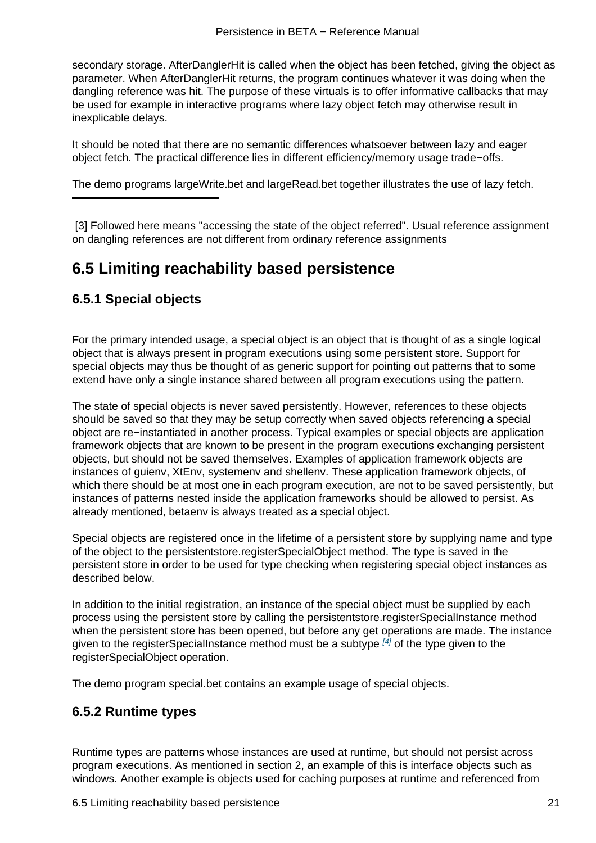<span id="page-23-0"></span>secondary storage. AfterDanglerHit is called when the object has been fetched, giving the object as parameter. When AfterDanglerHit returns, the program continues whatever it was doing when the dangling reference was hit. The purpose of these virtuals is to offer informative callbacks that may be used for example in interactive programs where lazy object fetch may otherwise result in inexplicable delays.

It should be noted that there are no semantic differences whatsoever between lazy and eager object fetch. The practical difference lies in different efficiency/memory usage trade−offs.

The demo programs largeWrite.bet and largeRead.bet together illustrates the use of lazy fetch.

[3] Followed here means "accessing the state of the object referred". Usual reference assignment on dangling references are not different from ordinary reference assignments

## **6.5 Limiting reachability based persistence**

### **6.5.1 Special objects**

For the primary intended usage, a special object is an object that is thought of as a single logical object that is always present in program executions using some persistent store. Support for special objects may thus be thought of as generic support for pointing out patterns that to some extend have only a single instance shared between all program executions using the pattern.

The state of special objects is never saved persistently. However, references to these objects should be saved so that they may be setup correctly when saved objects referencing a special object are re−instantiated in another process. Typical examples or special objects are application framework objects that are known to be present in the program executions exchanging persistent objects, but should not be saved themselves. Examples of application framework objects are instances of guienv, XtEnv, systemenv and shellenv. These application framework objects, of which there should be at most one in each program execution, are not to be saved persistently, but instances of patterns nested inside the application frameworks should be allowed to persist. As already mentioned, betaenv is always treated as a special object.

Special objects are registered once in the lifetime of a persistent store by supplying name and type of the object to the persistentstore.registerSpecialObject method. The type is saved in the persistent store in order to be used for type checking when registering special object instances as described below.

In addition to the initial registration, an instance of the special object must be supplied by each process using the persistent store by calling the persistentstore.registerSpecialInstance method when the persistent store has been opened, but before any get operations are made. The instance given to the registerSpecialInstance method must be a subtype  $^{[4]}$  of the type given to the registerSpecialObject operation.

The demo program special.bet contains an example usage of special objects.

### **6.5.2 Runtime types**

Runtime types are patterns whose instances are used at runtime, but should not persist across program executions. As mentioned in section 2, an example of this is interface objects such as windows. Another example is objects used for caching purposes at runtime and referenced from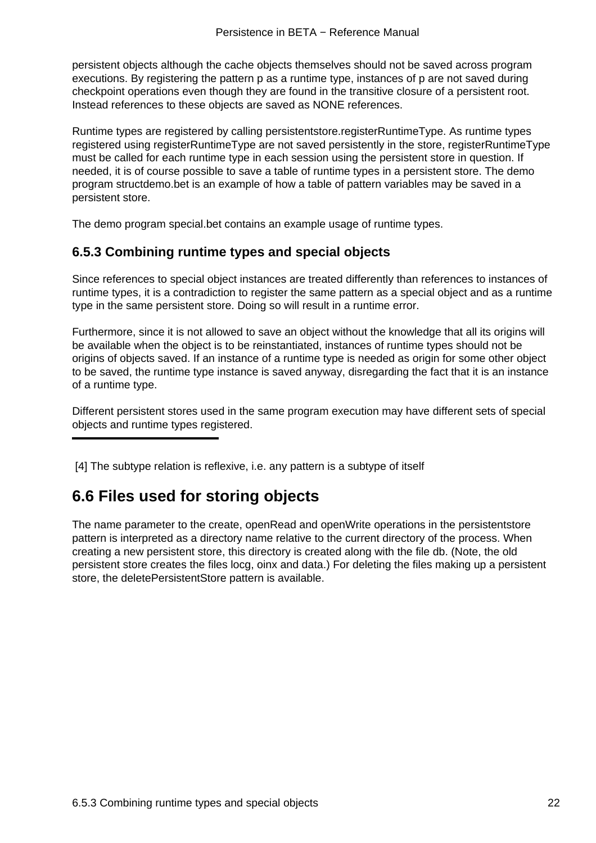<span id="page-24-0"></span>persistent objects although the cache objects themselves should not be saved across program executions. By registering the pattern p as a runtime type, instances of p are not saved during checkpoint operations even though they are found in the transitive closure of a persistent root. Instead references to these objects are saved as NONE references.

Runtime types are registered by calling persistentstore.registerRuntimeType. As runtime types registered using registerRuntimeType are not saved persistently in the store, registerRuntimeType must be called for each runtime type in each session using the persistent store in question. If needed, it is of course possible to save a table of runtime types in a persistent store. The demo program structdemo.bet is an example of how a table of pattern variables may be saved in a persistent store.

The demo program special.bet contains an example usage of runtime types.

### **6.5.3 Combining runtime types and special objects**

Since references to special object instances are treated differently than references to instances of runtime types, it is a contradiction to register the same pattern as a special object and as a runtime type in the same persistent store. Doing so will result in a runtime error.

Furthermore, since it is not allowed to save an object without the knowledge that all its origins will be available when the object is to be reinstantiated, instances of runtime types should not be origins of objects saved. If an instance of a runtime type is needed as origin for some other object to be saved, the runtime type instance is saved anyway, disregarding the fact that it is an instance of a runtime type.

Different persistent stores used in the same program execution may have different sets of special objects and runtime types registered.

[4] The subtype relation is reflexive, i.e. any pattern is a subtype of itself

## **6.6 Files used for storing objects**

The name parameter to the create, openRead and openWrite operations in the persistentstore pattern is interpreted as a directory name relative to the current directory of the process. When creating a new persistent store, this directory is created along with the file db. (Note, the old persistent store creates the files locg, oinx and data.) For deleting the files making up a persistent store, the deletePersistentStore pattern is available.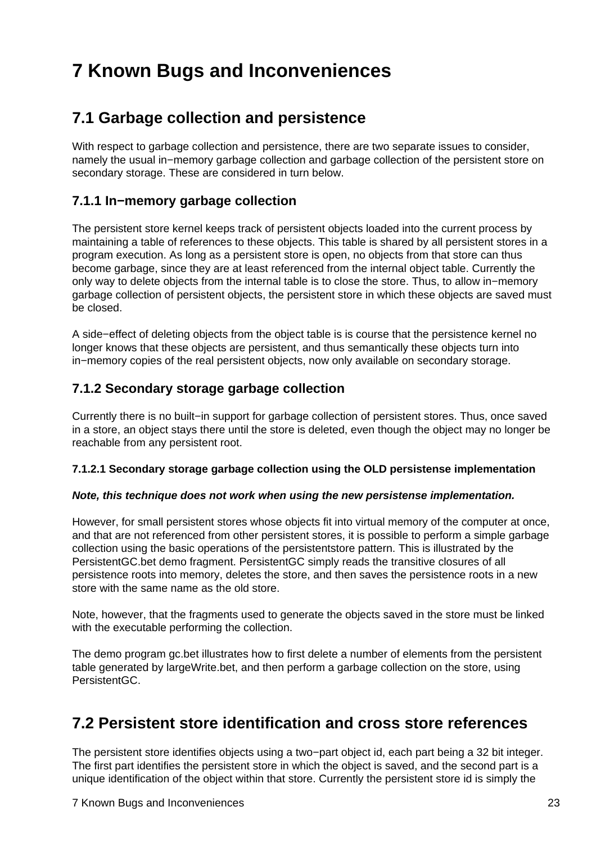# <span id="page-25-0"></span>**7 Known Bugs and Inconveniences**

## **7.1 Garbage collection and persistence**

With respect to garbage collection and persistence, there are two separate issues to consider, namely the usual in−memory garbage collection and garbage collection of the persistent store on secondary storage. These are considered in turn below.

### **7.1.1 In−memory garbage collection**

The persistent store kernel keeps track of persistent objects loaded into the current process by maintaining a table of references to these objects. This table is shared by all persistent stores in a program execution. As long as a persistent store is open, no objects from that store can thus become garbage, since they are at least referenced from the internal object table. Currently the only way to delete objects from the internal table is to close the store. Thus, to allow in−memory garbage collection of persistent objects, the persistent store in which these objects are saved must be closed.

A side−effect of deleting objects from the object table is is course that the persistence kernel no longer knows that these objects are persistent, and thus semantically these objects turn into in−memory copies of the real persistent objects, now only available on secondary storage.

### **7.1.2 Secondary storage garbage collection**

Currently there is no built−in support for garbage collection of persistent stores. Thus, once saved in a store, an object stays there until the store is deleted, even though the object may no longer be reachable from any persistent root.

#### **7.1.2.1 Secondary storage garbage collection using the OLD persistense implementation**

#### **Note, this technique does not work when using the new persistense implementation.**

However, for small persistent stores whose objects fit into virtual memory of the computer at once, and that are not referenced from other persistent stores, it is possible to perform a simple garbage collection using the basic operations of the persistentstore pattern. This is illustrated by the PersistentGC.bet demo fragment. PersistentGC simply reads the transitive closures of all persistence roots into memory, deletes the store, and then saves the persistence roots in a new store with the same name as the old store.

Note, however, that the fragments used to generate the objects saved in the store must be linked with the executable performing the collection.

The demo program gc.bet illustrates how to first delete a number of elements from the persistent table generated by largeWrite.bet, and then perform a garbage collection on the store, using PersistentGC.

### **7.2 Persistent store identification and cross store references**

The persistent store identifies objects using a two−part object id, each part being a 32 bit integer. The first part identifies the persistent store in which the object is saved, and the second part is a unique identification of the object within that store. Currently the persistent store id is simply the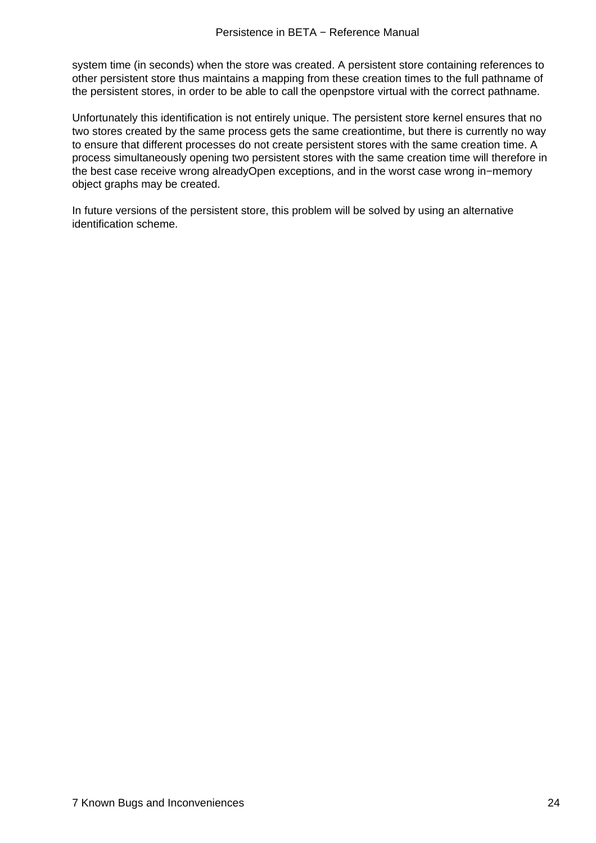system time (in seconds) when the store was created. A persistent store containing references to other persistent store thus maintains a mapping from these creation times to the full pathname of the persistent stores, in order to be able to call the openpstore virtual with the correct pathname.

Unfortunately this identification is not entirely unique. The persistent store kernel ensures that no two stores created by the same process gets the same creationtime, but there is currently no way to ensure that different processes do not create persistent stores with the same creation time. A process simultaneously opening two persistent stores with the same creation time will therefore in the best case receive wrong alreadyOpen exceptions, and in the worst case wrong in−memory object graphs may be created.

In future versions of the persistent store, this problem will be solved by using an alternative identification scheme.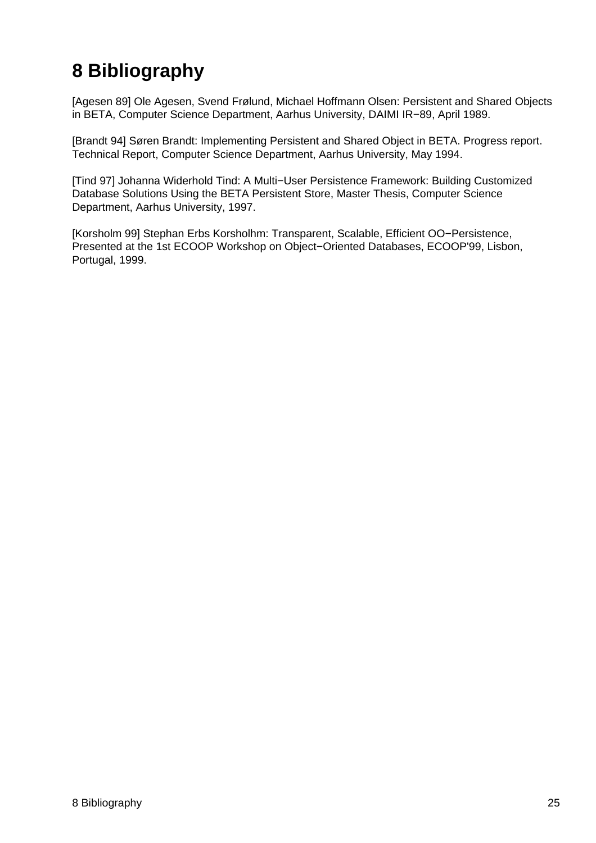# **8 Bibliography**

[Agesen 89] Ole Agesen, Svend Frølund, Michael Hoffmann Olsen: Persistent and Shared Objects in BETA, Computer Science Department, Aarhus University, DAIMI IR−89, April 1989.

[Brandt 94] Søren Brandt: Implementing Persistent and Shared Object in BETA. Progress report. Technical Report, Computer Science Department, Aarhus University, May 1994.

[Tind 97] Johanna Widerhold Tind: A Multi−User Persistence Framework: Building Customized Database Solutions Using the BETA Persistent Store, Master Thesis, Computer Science Department, Aarhus University, 1997.

[Korsholm 99] Stephan Erbs Korsholhm: Transparent, Scalable, Efficient OO−Persistence, Presented at the 1st ECOOP Workshop on Object−Oriented Databases, ECOOP'99, Lisbon, Portugal, 1999.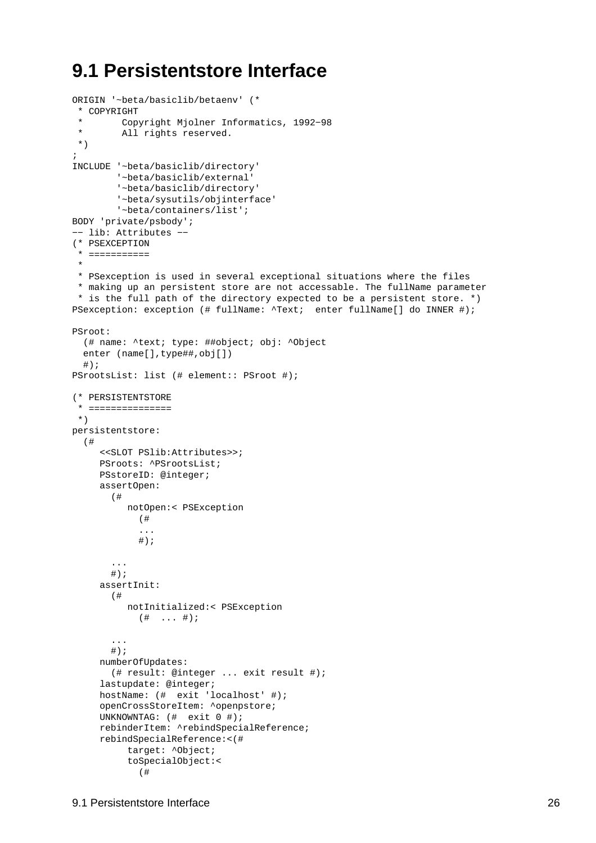# <span id="page-28-0"></span>**9.1 Persistentstore Interface**

```
ORIGIN '~beta/basiclib/betaenv' (* 
  * COPYRIGHT
  * Copyright Mjolner Informatics, 1992−98
         All rights reserved.
  *)
;
INCLUDE '~beta/basiclib/directory'
         '~beta/basiclib/external'
         '~beta/basiclib/directory'
         '~beta/sysutils/objinterface'
         '~beta/containers/list';
BODY 'private/psbody';
−− lib: Attributes −−
(* PSEXCEPTION
  * ===========
 * 
  * PSexception is used in several exceptional situations where the files
  * making up an persistent store are not accessable. The fullName parameter
  * is the full path of the directory expected to be a persistent store. *)
PSexception: exception (# fullName: \text{Text}; enter fullName[] do INNER #);
PSroot:
   (# name: ^text; type: ##object; obj: ^Object
   enter (name[],type##,obj[])
  \#);
PSrootsList: list (# element:: PSroot #);
(* PERSISTENTSTORE
  * ===============
  *)
persistentstore:
   (#
      <<SLOT PSlib:Attributes>>;
     PSroots: ^PSrootsList;
     PSstoreID: @integer;
     assertOpen:
        (#
           notOpen:< PSException
             (# 
             ...
            \# ) \, ;
        ...
       #);
     assertInit:
        (#
           notInitialized:< PSException
            ( # \dots #) ...
       #);
     numberOfUpdates:
        (# result: @integer ... exit result #);
     lastupdate: @integer;
     hostName: (# exit 'localhost' #);
     openCrossStoreItem: ^openpstore;
     UNKNOWNTAG: (# exit 0 #);
     rebinderItem: ^rebindSpecialReference;
     rebindSpecialReference:<(#
           target: ^Object;
           toSpecialObject:<
             (#
```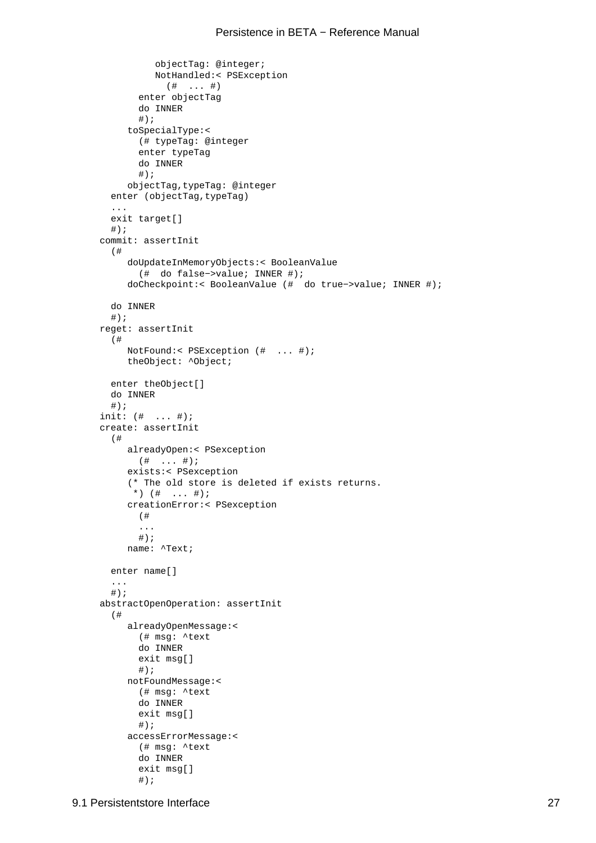```
 objectTag: @integer;
           NotHandled:< PSException
             (# ... #)
        enter objectTag
        do INNER
       \# ) \, ;
      toSpecialType:<
        (# typeTag: @integer
        enter typeTag
        do INNER
       #);
      objectTag,typeTag: @integer
  enter (objectTag, typeTag)
   ...
   exit target[]
  #);
commit: assertInit
   (#
      doUpdateInMemoryObjects:< BooleanValue
        (# do false−>value; INNER #);
      doCheckpoint:< BooleanValue (# do true−>value; INNER #);
  do INNER
  \#);
reget: assertInit
   (#
      NotFound:< PSException (# ... #);
      theObject: ^Object;
  enter theObject[]
  do INNER
 #);
init: (# ... #);
create: assertInit
   (#
      alreadyOpen:< PSexception
      ( # ... #); exists:< PSexception
      (* The old store is deleted if exists returns. 
      *) ( # ... #);
      creationError:< PSexception
        (# 
        ...
       #);
      name: ^Text;
  enter name[]
   ...
  #);
abstractOpenOperation: assertInit
   (#
      alreadyOpenMessage:<
        (# msg: ^text
        do INNER
        exit msg[]
       \#);
      notFoundMessage:<
        (# msg: ^text
        do INNER
        exit msg[]
       \#);
      accessErrorMessage:<
        (# msg: ^text
        do INNER
        exit msg[]
       \#);
```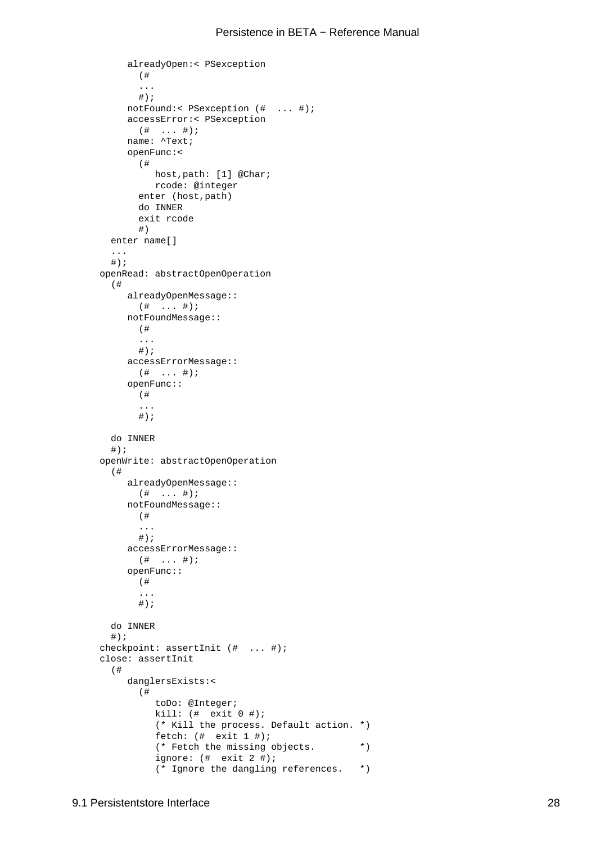```
 alreadyOpen:< PSexception
        (# 
        ...
       \#);
      notFound:< PSexception (# ... #);
      accessError:< PSexception
        (# ... #);
      name: ^Text;
      openFunc:<
        (#
           host,path: [1] @Char;
           rcode: @integer
        enter (host,path)
        do INNER
        exit rcode
        #)
   enter name[]
   ...
  #);
openRead: abstractOpenOperation
   (#
      alreadyOpenMessage:: 
       ( # \dots #); notFoundMessage:: 
        (# 
        ...
       #);
      accessErrorMessage:: 
        (# ... #);
      openFunc:: 
        (# 
        ...
       #);
  do INNER
  #);
openWrite: abstractOpenOperation
   (#
      alreadyOpenMessage:: 
       ( # \dots #); notFoundMessage:: 
        (# 
        ...
       #);
      accessErrorMessage:: 
       ( # \dots #); openFunc:: 
        (# 
        ...
       #);
  do INNER
  \#);
checkpoint: assertInit (# ... #);
close: assertInit
   (#
      danglersExists:<
        (#
           toDo: @Integer;
           kill: (# exit 0 #);
           (* Kill the process. Default action. *)
           fetch: (# exit 1 #);
            (* Fetch the missing objects. *)
            ignore: (# exit 2 #);
            (* Ignore the dangling references. *)
```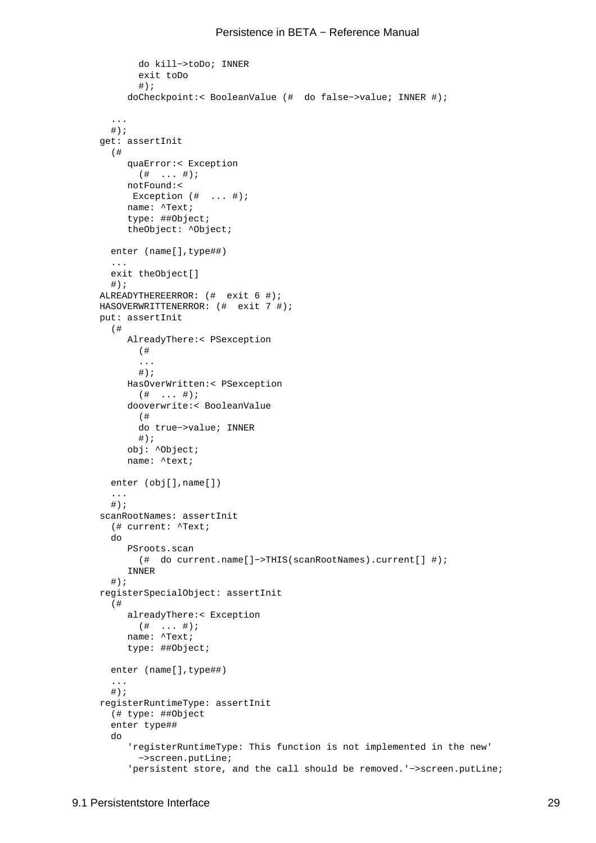```
 do kill−>toDo; INNER
        exit toDo
       #);
      doCheckpoint:< BooleanValue (# do false−>value; INNER #);
   ...
  \#);
get: assertInit
   (#
      quaError:< Exception
      ( # \dots #); notFound:<
       Exception (# ... #);
      name: ^Text;
      type: ##Object;
      theObject: ^Object;
   enter (name[],type##)
   ...
   exit theObject[]
   #);
ALREADYTHEREERROR: (# exit 6 #);
HASOVERWRITTENERROR: (# exit 7 #);
put: assertInit
   (#
      AlreadyThere:< PSexception
        (# 
        ...
       #);
      HasOverWritten:< PSexception
        (# ... #);
      dooverwrite:< BooleanValue
        (# 
        do true−>value; INNER
       \#);
      obj: ^Object;
      name: ^text;
   enter (obj[],name[])
   ...
  #);
scanRootNames: assertInit
   (# current: ^Text; 
   do
      PSroots.scan
       (# do current.name[]−>THIS(scanRootNames).current[] #);
      INNER
  #);
registerSpecialObject: assertInit
   (#
      alreadyThere:< Exception
      (\# \dots \#);
      name: ^Text;
      type: ##Object;
   enter (name[],type##)
   ...
  #);
registerRuntimeType: assertInit
   (# type: ##Object
   enter type##
   do
       'registerRuntimeType: This function is not implemented in the new'
        −>screen.putLine;
       'persistent store, and the call should be removed.'−>screen.putLine;
```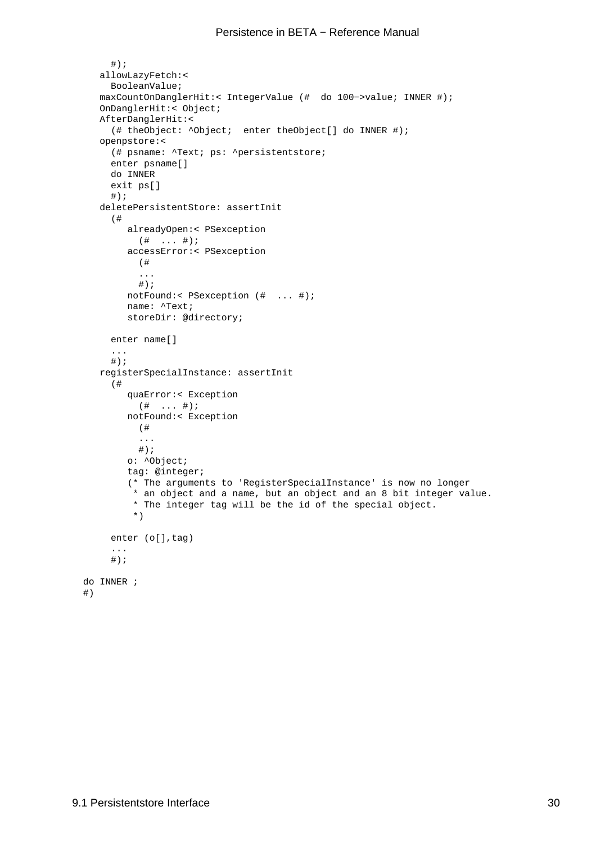```
#);
   allowLazyFetch:<
      BooleanValue;
   maxCountOnDanglerHit:< IntegerValue (# do 100−>value; INNER #);
   OnDanglerHit:< Object;
   AfterDanglerHit:<
      (# theObject: ^Object; enter theObject[] do INNER #);
   openpstore:<
      (# psname: ^Text; ps: ^persistentstore; 
      enter psname[]
      do INNER
      exit ps[]
     \#);
   deletePersistentStore: assertInit
      (#
         alreadyOpen:< PSexception
          ( # ... #); accessError:< PSexception
           (# 
           ...
          #);
         notFound:< PSexception (# ... #);
         name: ^Text;
         storeDir: @directory;
      enter name[]
      ...
     \# ) \, ;
   registerSpecialInstance: assertInit
      (#
         quaError:< Exception
           (# ... #);
         notFound:< Exception
           (# 
           ...
          #);
         o: ^Object;
         tag: @integer;
         (* The arguments to 'RegisterSpecialInstance' is now no longer 
          * an object and a name, but an object and an 8 bit integer value.
          * The integer tag will be the id of the special object. 
          *)
     enter (o[], tag)
       ...
     #);
 do INNER ; 
 #)
```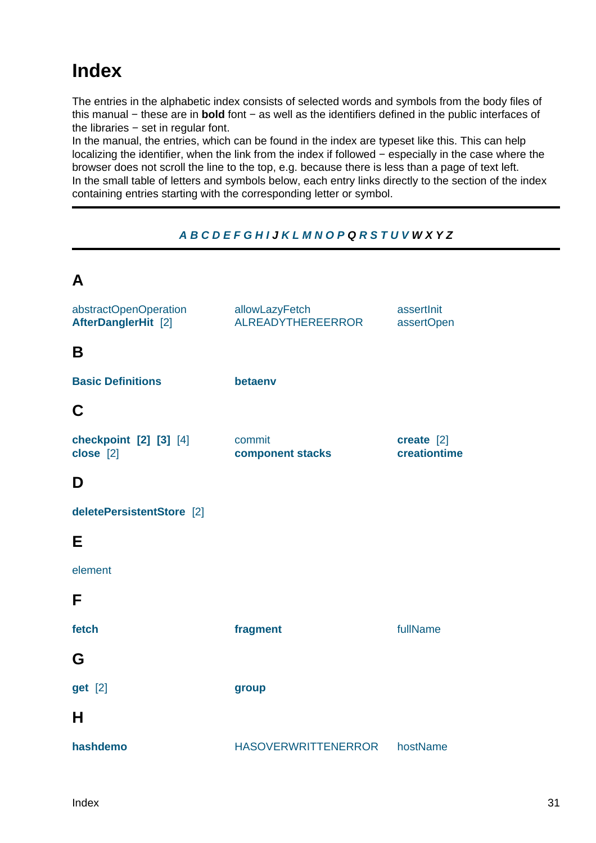# <span id="page-33-0"></span>**Index**

The entries in the alphabetic index consists of selected words and symbols from the body files of this manual − these are in **bold** font − as well as the identifiers defined in the public interfaces of the libraries − set in regular font.

In the manual, the entries, which can be found in the index are typeset like this. This can help localizing the identifier, when the link from the index if followed − especially in the case where the browser does not scroll the line to the top, e.g. because there is less than a page of text left. In the small table of letters and symbols below, each entry links directly to the section of the index containing entries starting with the corresponding letter or symbol.



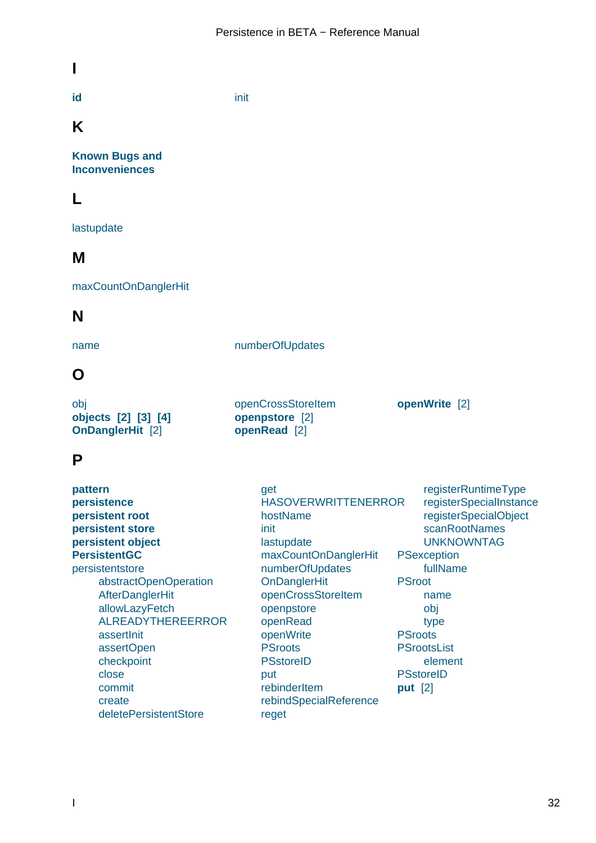<span id="page-34-0"></span>**I**

**id** init

## **K**

**[Kn](#page-25-0)own Bugs and Inconveniences**

### **[L](#page-25-0)**

[lastupdate](#page-25-0)

### **M**

[maxCountO](#page-28-0)nDanglerHit

### **N**

[name](#page-32-0) numberOfUpdates

[openCrossStoreItem](#page-28-0) **openpstore** [2] **openRead** [2]

**openWrite** [2]

### **O**

[obj](#page-28-0) **objects [2] [3] [4] OnDanglerHit** [2]

### **[P](#page-11-0)**

**[pattern](#page-22-0) persistence persistent root persistent store [persiste](#page-8-0)nt object [PersistentGC](#page-4-0)** [persistentstore](#page-6-0) [abstractOpe](#page-6-0)nOperation [AfterDangler](#page-6-0)Hit [allowLazy](#page-25-0)Fetch [ALREADY](#page-28-0)THEREERROR [assertInit](#page-29-0) [assertOpen](#page-32-0) [checkpoint](#page-32-0) [close](#page-31-0) [commit](#page-28-0) [create](#page-28-0) [deletePersi](#page-30-0)stentStore [get](#page-9-0) HASOVERWRITTENERROR hostName init [last](#page-31-0)update [maxCountOnDanglerHit](#page-31-0) [numberOfU](#page-28-0)pdates **[On](#page-29-0)DanglerHit** [openCross](#page-28-0)StoreItem [openpstore](#page-32-0) [openRead](#page-28-0) [openWrite](#page-32-0) **[PSroots](#page-28-0) [PSstoreID](#page-32-0)** [put](#page-30-0) [rebinderIte](#page-30-0)m [rebindSp](#page-28-0)ecialReference [reget](#page-28-0) registerRuntimeType registerSpecialInstance registerSpecialObject scanRootNames [UNKNOWNTAG](#page-31-0) **PSex[ception](#page-32-0)** [fullName](#page-31-0) **PSroot** [name](#page-28-0) [obj](#page-28-0) [type](#page-28-0) **[PSroots](#page-28-0) PSro[otsList](#page-28-0)** [elem](#page-28-0)ent **PSst[oreID](#page-28-0) [put](#page-28-0)** [2]